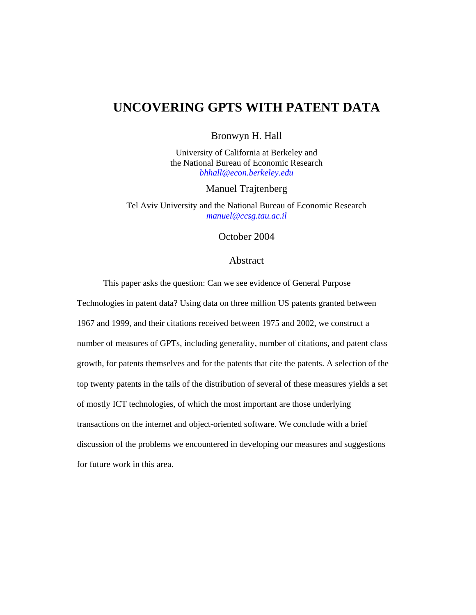# **UNCOVERING GPTS WITH PATENT DATA**

Bronwyn H. Hall

University of California at Berkeley and the National Bureau of Economic Research *bhhall@econ.berkeley.edu*

Manuel Trajtenberg

Tel Aviv University and the National Bureau of Economic Research *manuel@ccsg.tau.ac.il*

October 2004

### Abstract

This paper asks the question: Can we see evidence of General Purpose

Technologies in patent data? Using data on three million US patents granted between 1967 and 1999, and their citations received between 1975 and 2002, we construct a number of measures of GPTs, including generality, number of citations, and patent class growth, for patents themselves and for the patents that cite the patents. A selection of the top twenty patents in the tails of the distribution of several of these measures yields a set of mostly ICT technologies, of which the most important are those underlying transactions on the internet and object-oriented software. We conclude with a brief discussion of the problems we encountered in developing our measures and suggestions for future work in this area.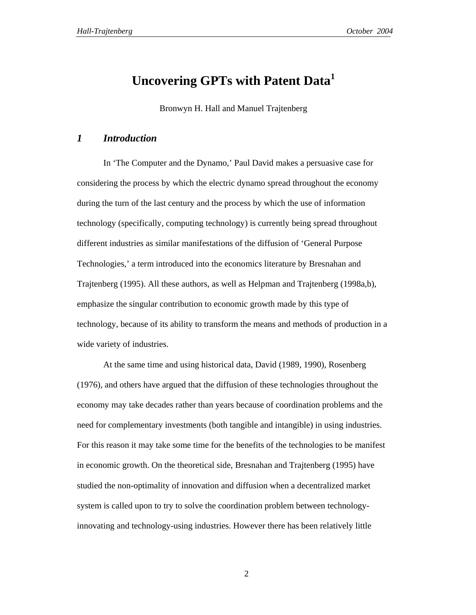# **Uncovering GPTs with Patent Data<sup>1</sup>**

Bronwyn H. Hall and Manuel Trajtenberg

### *1 Introduction*

In 'The Computer and the Dynamo,' Paul David makes a persuasive case for considering the process by which the electric dynamo spread throughout the economy during the turn of the last century and the process by which the use of information technology (specifically, computing technology) is currently being spread throughout different industries as similar manifestations of the diffusion of 'General Purpose Technologies,' a term introduced into the economics literature by Bresnahan and Trajtenberg (1995). All these authors, as well as Helpman and Trajtenberg (1998a,b), emphasize the singular contribution to economic growth made by this type of technology, because of its ability to transform the means and methods of production in a wide variety of industries.

At the same time and using historical data, David (1989, 1990), Rosenberg (1976), and others have argued that the diffusion of these technologies throughout the economy may take decades rather than years because of coordination problems and the need for complementary investments (both tangible and intangible) in using industries. For this reason it may take some time for the benefits of the technologies to be manifest in economic growth. On the theoretical side, Bresnahan and Trajtenberg (1995) have studied the non-optimality of innovation and diffusion when a decentralized market system is called upon to try to solve the coordination problem between technologyinnovating and technology-using industries. However there has been relatively little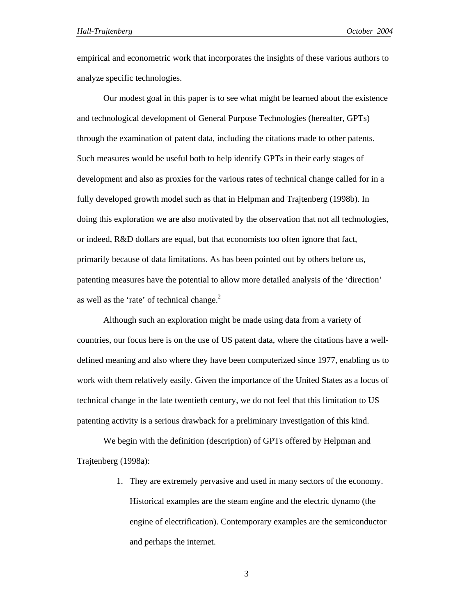empirical and econometric work that incorporates the insights of these various authors to analyze specific technologies.

Our modest goal in this paper is to see what might be learned about the existence and technological development of General Purpose Technologies (hereafter, GPTs) through the examination of patent data, including the citations made to other patents. Such measures would be useful both to help identify GPTs in their early stages of development and also as proxies for the various rates of technical change called for in a fully developed growth model such as that in Helpman and Trajtenberg (1998b). In doing this exploration we are also motivated by the observation that not all technologies, or indeed, R&D dollars are equal, but that economists too often ignore that fact, primarily because of data limitations. As has been pointed out by others before us, patenting measures have the potential to allow more detailed analysis of the 'direction' as well as the 'rate' of technical change.<sup>2</sup>

Although such an exploration might be made using data from a variety of countries, our focus here is on the use of US patent data, where the citations have a welldefined meaning and also where they have been computerized since 1977, enabling us to work with them relatively easily. Given the importance of the United States as a locus of technical change in the late twentieth century, we do not feel that this limitation to US patenting activity is a serious drawback for a preliminary investigation of this kind.

We begin with the definition (description) of GPTs offered by Helpman and Trajtenberg (1998a):

> 1. They are extremely pervasive and used in many sectors of the economy. Historical examples are the steam engine and the electric dynamo (the engine of electrification). Contemporary examples are the semiconductor and perhaps the internet.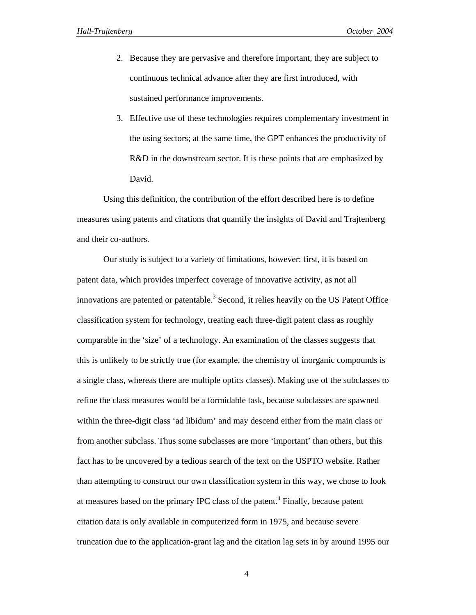- 2. Because they are pervasive and therefore important, they are subject to continuous technical advance after they are first introduced, with sustained performance improvements.
- 3. Effective use of these technologies requires complementary investment in the using sectors; at the same time, the GPT enhances the productivity of R&D in the downstream sector. It is these points that are emphasized by David.

Using this definition, the contribution of the effort described here is to define measures using patents and citations that quantify the insights of David and Trajtenberg and their co-authors.

Our study is subject to a variety of limitations, however: first, it is based on patent data, which provides imperfect coverage of innovative activity, as not all innovations are patented or patentable.<sup>3</sup> Second, it relies heavily on the US Patent Office classification system for technology, treating each three-digit patent class as roughly comparable in the 'size' of a technology. An examination of the classes suggests that this is unlikely to be strictly true (for example, the chemistry of inorganic compounds is a single class, whereas there are multiple optics classes). Making use of the subclasses to refine the class measures would be a formidable task, because subclasses are spawned within the three-digit class 'ad libidum' and may descend either from the main class or from another subclass. Thus some subclasses are more 'important' than others, but this fact has to be uncovered by a tedious search of the text on the USPTO website. Rather than attempting to construct our own classification system in this way, we chose to look at measures based on the primary IPC class of the patent.<sup>4</sup> Finally, because patent citation data is only available in computerized form in 1975, and because severe truncation due to the application-grant lag and the citation lag sets in by around 1995 our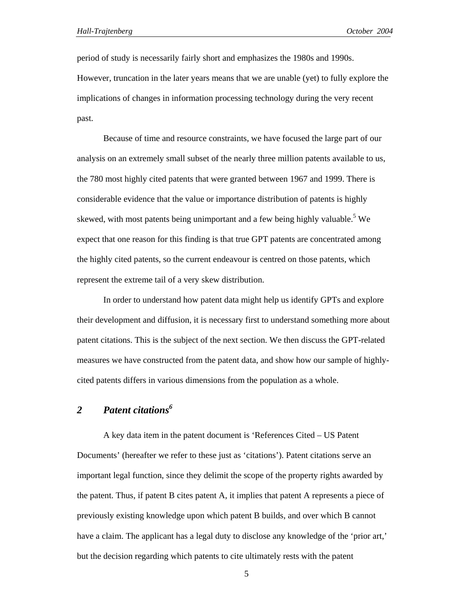period of study is necessarily fairly short and emphasizes the 1980s and 1990s. However, truncation in the later years means that we are unable (yet) to fully explore the implications of changes in information processing technology during the very recent past.

Because of time and resource constraints, we have focused the large part of our analysis on an extremely small subset of the nearly three million patents available to us, the 780 most highly cited patents that were granted between 1967 and 1999. There is considerable evidence that the value or importance distribution of patents is highly skewed, with most patents being unimportant and a few being highly valuable.<sup>5</sup> We expect that one reason for this finding is that true GPT patents are concentrated among the highly cited patents, so the current endeavour is centred on those patents, which represent the extreme tail of a very skew distribution.

In order to understand how patent data might help us identify GPTs and explore their development and diffusion, it is necessary first to understand something more about patent citations. This is the subject of the next section. We then discuss the GPT-related measures we have constructed from the patent data, and show how our sample of highlycited patents differs in various dimensions from the population as a whole.

### 2 *Patent citations*<sup>6</sup>

A key data item in the patent document is 'References Cited – US Patent Documents' (hereafter we refer to these just as 'citations'). Patent citations serve an important legal function, since they delimit the scope of the property rights awarded by the patent. Thus, if patent B cites patent A, it implies that patent A represents a piece of previously existing knowledge upon which patent B builds, and over which B cannot have a claim. The applicant has a legal duty to disclose any knowledge of the 'prior art,' but the decision regarding which patents to cite ultimately rests with the patent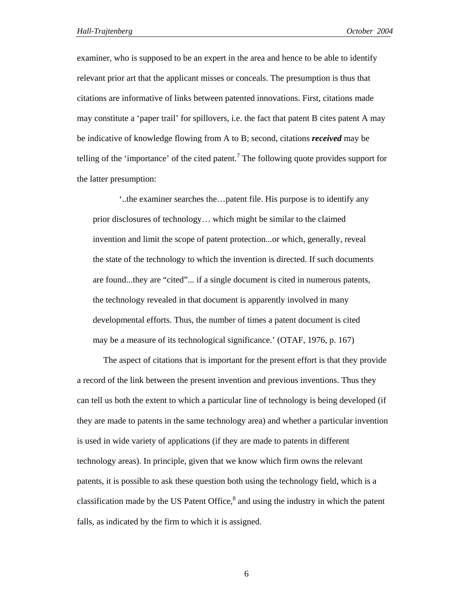examiner, who is supposed to be an expert in the area and hence to be able to identify relevant prior art that the applicant misses or conceals. The presumption is thus that citations are informative of links between patented innovations. First, citations made may constitute a 'paper trail' for spillovers, i.e. the fact that patent B cites patent A may be indicative of knowledge flowing from A to B; second, citations *received* may be telling of the 'importance' of the cited patent.<sup>7</sup> The following quote provides support for the latter presumption:

'..the examiner searches the…patent file. His purpose is to identify any prior disclosures of technology… which might be similar to the claimed invention and limit the scope of patent protection...or which, generally, reveal the state of the technology to which the invention is directed. If such documents are found...they are "cited"... if a single document is cited in numerous patents, the technology revealed in that document is apparently involved in many developmental efforts. Thus, the number of times a patent document is cited may be a measure of its technological significance.' (OTAF, 1976, p. 167)

The aspect of citations that is important for the present effort is that they provide a record of the link between the present invention and previous inventions. Thus they can tell us both the extent to which a particular line of technology is being developed (if they are made to patents in the same technology area) and whether a particular invention is used in wide variety of applications (if they are made to patents in different technology areas). In principle, given that we know which firm owns the relevant patents, it is possible to ask these question both using the technology field, which is a classification made by the US Patent Office, $<sup>8</sup>$  and using the industry in which the patent</sup> falls, as indicated by the firm to which it is assigned.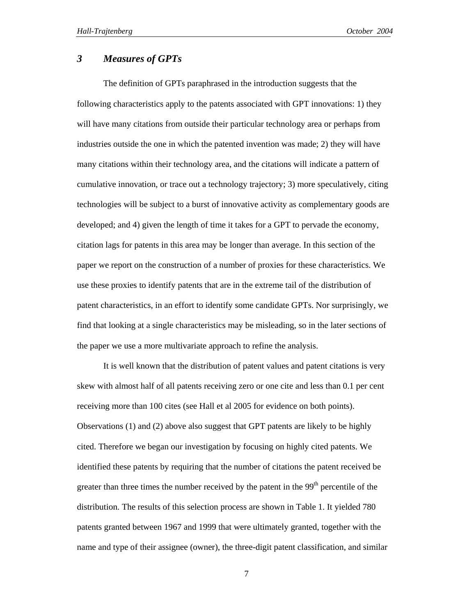### *3 Measures of GPTs*

The definition of GPTs paraphrased in the introduction suggests that the following characteristics apply to the patents associated with GPT innovations: 1) they will have many citations from outside their particular technology area or perhaps from industries outside the one in which the patented invention was made; 2) they will have many citations within their technology area, and the citations will indicate a pattern of cumulative innovation, or trace out a technology trajectory; 3) more speculatively, citing technologies will be subject to a burst of innovative activity as complementary goods are developed; and 4) given the length of time it takes for a GPT to pervade the economy, citation lags for patents in this area may be longer than average. In this section of the paper we report on the construction of a number of proxies for these characteristics. We use these proxies to identify patents that are in the extreme tail of the distribution of patent characteristics, in an effort to identify some candidate GPTs. Nor surprisingly, we find that looking at a single characteristics may be misleading, so in the later sections of the paper we use a more multivariate approach to refine the analysis.

It is well known that the distribution of patent values and patent citations is very skew with almost half of all patents receiving zero or one cite and less than 0.1 per cent receiving more than 100 cites (see Hall et al 2005 for evidence on both points). Observations (1) and (2) above also suggest that GPT patents are likely to be highly cited. Therefore we began our investigation by focusing on highly cited patents. We identified these patents by requiring that the number of citations the patent received be greater than three times the number received by the patent in the  $99<sup>th</sup>$  percentile of the distribution. The results of this selection process are shown in Table 1. It yielded 780 patents granted between 1967 and 1999 that were ultimately granted, together with the name and type of their assignee (owner), the three-digit patent classification, and similar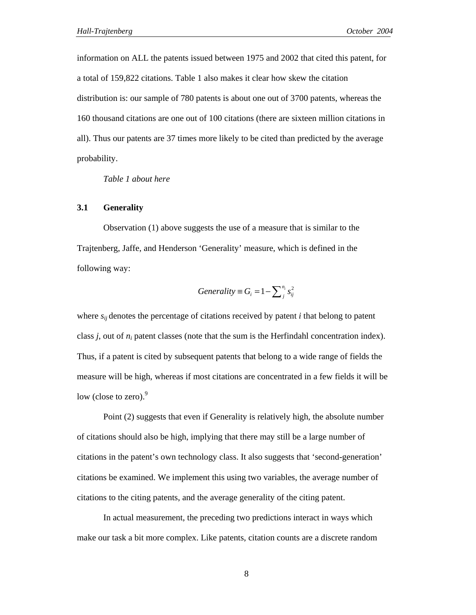information on ALL the patents issued between 1975 and 2002 that cited this patent, for a total of 159,822 citations. Table 1 also makes it clear how skew the citation distribution is: our sample of 780 patents is about one out of 3700 patents, whereas the 160 thousand citations are one out of 100 citations (there are sixteen million citations in all). Thus our patents are 37 times more likely to be cited than predicted by the average probability.

*Table 1 about here* 

#### **3.1 Generality**

Observation (1) above suggests the use of a measure that is similar to the Trajtenberg, Jaffe, and Henderson 'Generality' measure, which is defined in the following way:

$$
Generality \equiv G_i = 1 - \sum_{j}^{n_i} s_{ij}^2
$$

where  $s_{ij}$  denotes the percentage of citations received by patent *i* that belong to patent class *j*, out of *ni* patent classes (note that the sum is the Herfindahl concentration index). Thus, if a patent is cited by subsequent patents that belong to a wide range of fields the measure will be high, whereas if most citations are concentrated in a few fields it will be low (close to zero). $9$ 

Point (2) suggests that even if Generality is relatively high, the absolute number of citations should also be high, implying that there may still be a large number of citations in the patent's own technology class. It also suggests that 'second-generation' citations be examined. We implement this using two variables, the average number of citations to the citing patents, and the average generality of the citing patent.

In actual measurement, the preceding two predictions interact in ways which make our task a bit more complex. Like patents, citation counts are a discrete random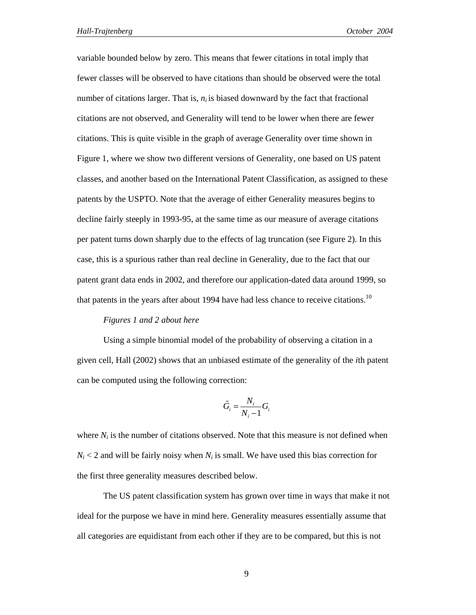variable bounded below by zero. This means that fewer citations in total imply that fewer classes will be observed to have citations than should be observed were the total number of citations larger. That is,  $n_i$  is biased downward by the fact that fractional citations are not observed, and Generality will tend to be lower when there are fewer citations. This is quite visible in the graph of average Generality over time shown in Figure 1, where we show two different versions of Generality, one based on US patent classes, and another based on the International Patent Classification, as assigned to these patents by the USPTO. Note that the average of either Generality measures begins to decline fairly steeply in 1993-95, at the same time as our measure of average citations per patent turns down sharply due to the effects of lag truncation (see Figure 2). In this case, this is a spurious rather than real decline in Generality, due to the fact that our patent grant data ends in 2002, and therefore our application-dated data around 1999, so that patents in the years after about 1994 have had less chance to receive citations.<sup>10</sup>

#### *Figures 1 and 2 about here*

Using a simple binomial model of the probability of observing a citation in a given cell, Hall (2002) shows that an unbiased estimate of the generality of the *i*th patent can be computed using the following correction:

$$
\tilde{G}_i = \frac{N_i}{N_i - 1} G_i
$$

where  $N_i$  is the number of citations observed. Note that this measure is not defined when  $N_i$  < 2 and will be fairly noisy when  $N_i$  is small. We have used this bias correction for the first three generality measures described below.

The US patent classification system has grown over time in ways that make it not ideal for the purpose we have in mind here. Generality measures essentially assume that all categories are equidistant from each other if they are to be compared, but this is not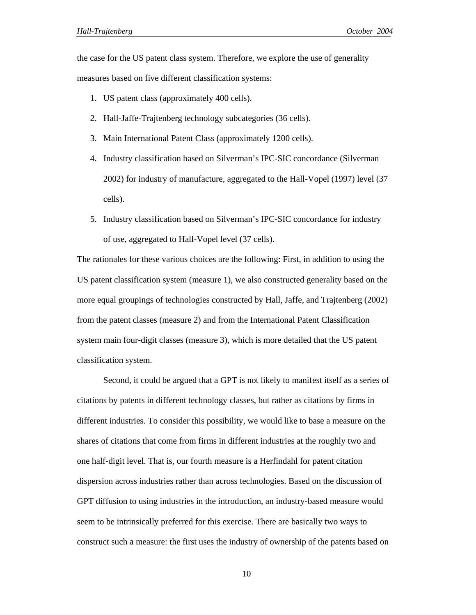the case for the US patent class system. Therefore, we explore the use of generality measures based on five different classification systems:

- 1. US patent class (approximately 400 cells).
- 2. Hall-Jaffe-Trajtenberg technology subcategories (36 cells).
- 3. Main International Patent Class (approximately 1200 cells).
- 4. Industry classification based on Silverman's IPC-SIC concordance (Silverman 2002) for industry of manufacture, aggregated to the Hall-Vopel (1997) level (37 cells).
- 5. Industry classification based on Silverman's IPC-SIC concordance for industry of use, aggregated to Hall-Vopel level (37 cells).

The rationales for these various choices are the following: First, in addition to using the US patent classification system (measure 1), we also constructed generality based on the more equal groupings of technologies constructed by Hall, Jaffe, and Trajtenberg (2002) from the patent classes (measure 2) and from the International Patent Classification system main four-digit classes (measure 3), which is more detailed that the US patent classification system.

Second, it could be argued that a GPT is not likely to manifest itself as a series of citations by patents in different technology classes, but rather as citations by firms in different industries. To consider this possibility, we would like to base a measure on the shares of citations that come from firms in different industries at the roughly two and one half-digit level. That is, our fourth measure is a Herfindahl for patent citation dispersion across industries rather than across technologies. Based on the discussion of GPT diffusion to using industries in the introduction, an industry-based measure would seem to be intrinsically preferred for this exercise. There are basically two ways to construct such a measure: the first uses the industry of ownership of the patents based on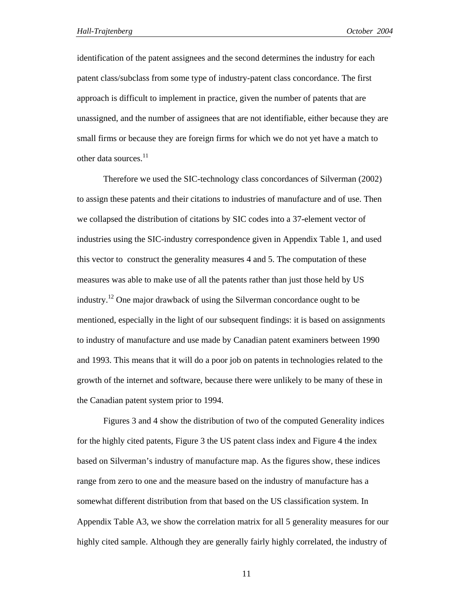identification of the patent assignees and the second determines the industry for each patent class/subclass from some type of industry-patent class concordance. The first approach is difficult to implement in practice, given the number of patents that are unassigned, and the number of assignees that are not identifiable, either because they are small firms or because they are foreign firms for which we do not yet have a match to other data sources.<sup>11</sup>

Therefore we used the SIC-technology class concordances of Silverman (2002) to assign these patents and their citations to industries of manufacture and of use. Then we collapsed the distribution of citations by SIC codes into a 37-element vector of industries using the SIC-industry correspondence given in Appendix Table 1, and used this vector to construct the generality measures 4 and 5. The computation of these measures was able to make use of all the patents rather than just those held by US industry.<sup>12</sup> One major drawback of using the Silverman concordance ought to be mentioned, especially in the light of our subsequent findings: it is based on assignments to industry of manufacture and use made by Canadian patent examiners between 1990 and 1993. This means that it will do a poor job on patents in technologies related to the growth of the internet and software, because there were unlikely to be many of these in the Canadian patent system prior to 1994.

Figures 3 and 4 show the distribution of two of the computed Generality indices for the highly cited patents, Figure 3 the US patent class index and Figure 4 the index based on Silverman's industry of manufacture map. As the figures show, these indices range from zero to one and the measure based on the industry of manufacture has a somewhat different distribution from that based on the US classification system. In Appendix Table A3, we show the correlation matrix for all 5 generality measures for our highly cited sample. Although they are generally fairly highly correlated, the industry of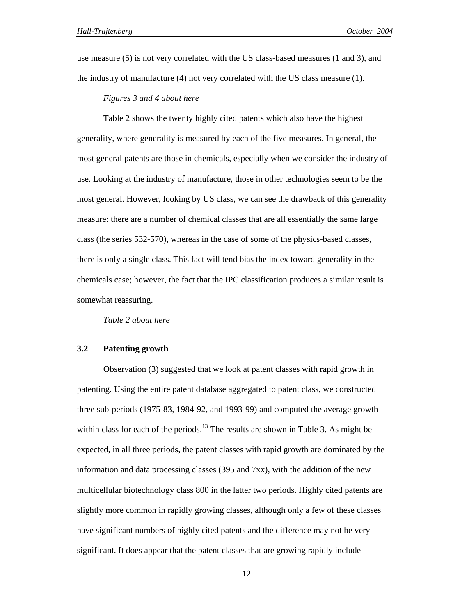use measure (5) is not very correlated with the US class-based measures (1 and 3), and the industry of manufacture (4) not very correlated with the US class measure (1).

#### *Figures 3 and 4 about here*

Table 2 shows the twenty highly cited patents which also have the highest generality, where generality is measured by each of the five measures. In general, the most general patents are those in chemicals, especially when we consider the industry of use. Looking at the industry of manufacture, those in other technologies seem to be the most general. However, looking by US class, we can see the drawback of this generality measure: there are a number of chemical classes that are all essentially the same large class (the series 532-570), whereas in the case of some of the physics-based classes, there is only a single class. This fact will tend bias the index toward generality in the chemicals case; however, the fact that the IPC classification produces a similar result is somewhat reassuring.

*Table 2 about here* 

#### **3.2 Patenting growth**

Observation (3) suggested that we look at patent classes with rapid growth in patenting. Using the entire patent database aggregated to patent class, we constructed three sub-periods (1975-83, 1984-92, and 1993-99) and computed the average growth within class for each of the periods.<sup>13</sup> The results are shown in Table 3. As might be expected, in all three periods, the patent classes with rapid growth are dominated by the information and data processing classes (395 and 7xx), with the addition of the new multicellular biotechnology class 800 in the latter two periods. Highly cited patents are slightly more common in rapidly growing classes, although only a few of these classes have significant numbers of highly cited patents and the difference may not be very significant. It does appear that the patent classes that are growing rapidly include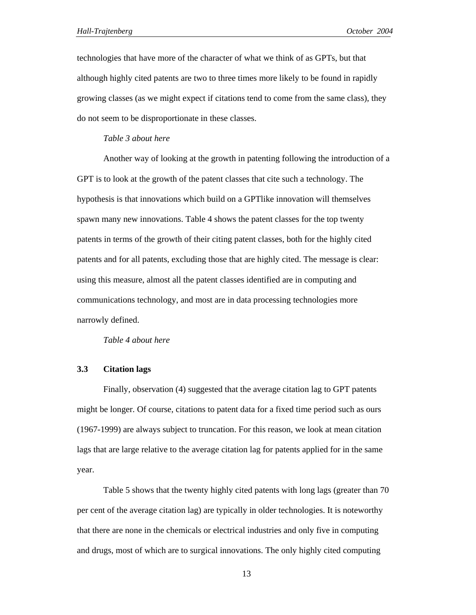technologies that have more of the character of what we think of as GPTs, but that although highly cited patents are two to three times more likely to be found in rapidly growing classes (as we might expect if citations tend to come from the same class), they do not seem to be disproportionate in these classes.

#### *Table 3 about here*

Another way of looking at the growth in patenting following the introduction of a GPT is to look at the growth of the patent classes that cite such a technology. The hypothesis is that innovations which build on a GPTlike innovation will themselves spawn many new innovations. Table 4 shows the patent classes for the top twenty patents in terms of the growth of their citing patent classes, both for the highly cited patents and for all patents, excluding those that are highly cited. The message is clear: using this measure, almost all the patent classes identified are in computing and communications technology, and most are in data processing technologies more narrowly defined.

*Table 4 about here* 

#### **3.3 Citation lags**

Finally, observation (4) suggested that the average citation lag to GPT patents might be longer. Of course, citations to patent data for a fixed time period such as ours (1967-1999) are always subject to truncation. For this reason, we look at mean citation lags that are large relative to the average citation lag for patents applied for in the same year.

Table 5 shows that the twenty highly cited patents with long lags (greater than 70 per cent of the average citation lag) are typically in older technologies. It is noteworthy that there are none in the chemicals or electrical industries and only five in computing and drugs, most of which are to surgical innovations. The only highly cited computing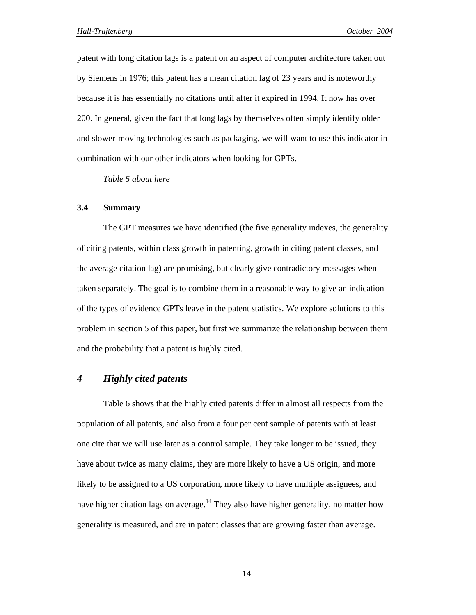patent with long citation lags is a patent on an aspect of computer architecture taken out by Siemens in 1976; this patent has a mean citation lag of 23 years and is noteworthy because it is has essentially no citations until after it expired in 1994. It now has over 200. In general, given the fact that long lags by themselves often simply identify older and slower-moving technologies such as packaging, we will want to use this indicator in combination with our other indicators when looking for GPTs.

*Table 5 about here* 

#### **3.4 Summary**

The GPT measures we have identified (the five generality indexes, the generality of citing patents, within class growth in patenting, growth in citing patent classes, and the average citation lag) are promising, but clearly give contradictory messages when taken separately. The goal is to combine them in a reasonable way to give an indication of the types of evidence GPTs leave in the patent statistics. We explore solutions to this problem in section 5 of this paper, but first we summarize the relationship between them and the probability that a patent is highly cited.

### *4 Highly cited patents*

Table 6 shows that the highly cited patents differ in almost all respects from the population of all patents, and also from a four per cent sample of patents with at least one cite that we will use later as a control sample. They take longer to be issued, they have about twice as many claims, they are more likely to have a US origin, and more likely to be assigned to a US corporation, more likely to have multiple assignees, and have higher citation lags on average.<sup>14</sup> They also have higher generality, no matter how generality is measured, and are in patent classes that are growing faster than average.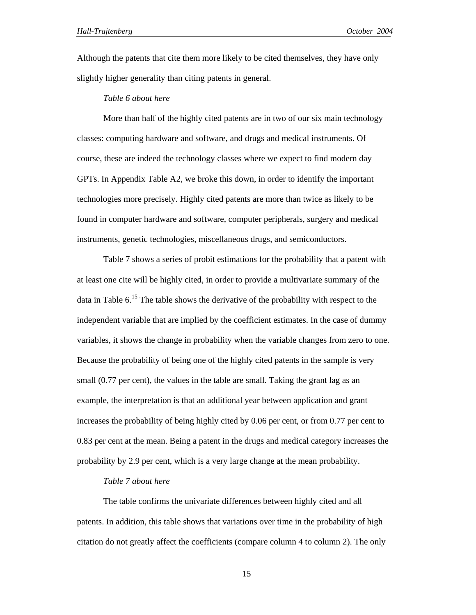Although the patents that cite them more likely to be cited themselves, they have only slightly higher generality than citing patents in general.

#### *Table 6 about here*

More than half of the highly cited patents are in two of our six main technology classes: computing hardware and software, and drugs and medical instruments. Of course, these are indeed the technology classes where we expect to find modern day GPTs. In Appendix Table A2, we broke this down, in order to identify the important technologies more precisely. Highly cited patents are more than twice as likely to be found in computer hardware and software, computer peripherals, surgery and medical instruments, genetic technologies, miscellaneous drugs, and semiconductors.

Table 7 shows a series of probit estimations for the probability that a patent with at least one cite will be highly cited, in order to provide a multivariate summary of the data in Table  $6<sup>15</sup>$ . The table shows the derivative of the probability with respect to the independent variable that are implied by the coefficient estimates. In the case of dummy variables, it shows the change in probability when the variable changes from zero to one. Because the probability of being one of the highly cited patents in the sample is very small (0.77 per cent), the values in the table are small. Taking the grant lag as an example, the interpretation is that an additional year between application and grant increases the probability of being highly cited by 0.06 per cent, or from 0.77 per cent to 0.83 per cent at the mean. Being a patent in the drugs and medical category increases the probability by 2.9 per cent, which is a very large change at the mean probability.

#### *Table 7 about here*

The table confirms the univariate differences between highly cited and all patents. In addition, this table shows that variations over time in the probability of high citation do not greatly affect the coefficients (compare column 4 to column 2). The only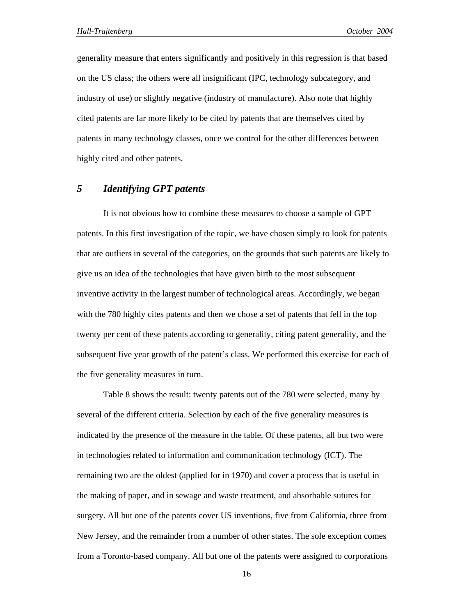generality measure that enters significantly and positively in this regression is that based on the US class; the others were all insignificant (IPC, technology subcategory, and industry of use) or slightly negative (industry of manufacture). Also note that highly cited patents are far more likely to be cited by patents that are themselves cited by patents in many technology classes, once we control for the other differences between highly cited and other patents.

## *5 Identifying GPT patents*

It is not obvious how to combine these measures to choose a sample of GPT patents. In this first investigation of the topic, we have chosen simply to look for patents that are outliers in several of the categories, on the grounds that such patents are likely to give us an idea of the technologies that have given birth to the most subsequent inventive activity in the largest number of technological areas. Accordingly, we began with the 780 highly cites patents and then we chose a set of patents that fell in the top twenty per cent of these patents according to generality, citing patent generality, and the subsequent five year growth of the patent's class. We performed this exercise for each of the five generality measures in turn.

Table 8 shows the result: twenty patents out of the 780 were selected, many by several of the different criteria. Selection by each of the five generality measures is indicated by the presence of the measure in the table. Of these patents, all but two were in technologies related to information and communication technology (ICT). The remaining two are the oldest (applied for in 1970) and cover a process that is useful in the making of paper, and in sewage and waste treatment, and absorbable sutures for surgery. All but one of the patents cover US inventions, five from California, three from New Jersey, and the remainder from a number of other states. The sole exception comes from a Toronto-based company. All but one of the patents were assigned to corporations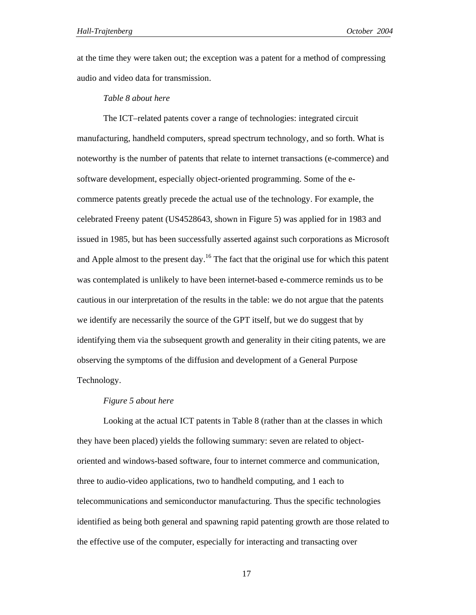at the time they were taken out; the exception was a patent for a method of compressing audio and video data for transmission.

#### *Table 8 about here*

The ICT–related patents cover a range of technologies: integrated circuit manufacturing, handheld computers, spread spectrum technology, and so forth. What is noteworthy is the number of patents that relate to internet transactions (e-commerce) and software development, especially object-oriented programming. Some of the ecommerce patents greatly precede the actual use of the technology. For example, the celebrated Freeny patent (US4528643, shown in Figure 5) was applied for in 1983 and issued in 1985, but has been successfully asserted against such corporations as Microsoft and Apple almost to the present day.<sup>16</sup> The fact that the original use for which this patent was contemplated is unlikely to have been internet-based e-commerce reminds us to be cautious in our interpretation of the results in the table: we do not argue that the patents we identify are necessarily the source of the GPT itself, but we do suggest that by identifying them via the subsequent growth and generality in their citing patents, we are observing the symptoms of the diffusion and development of a General Purpose Technology.

#### *Figure 5 about here*

Looking at the actual ICT patents in Table 8 (rather than at the classes in which they have been placed) yields the following summary: seven are related to objectoriented and windows-based software, four to internet commerce and communication, three to audio-video applications, two to handheld computing, and 1 each to telecommunications and semiconductor manufacturing. Thus the specific technologies identified as being both general and spawning rapid patenting growth are those related to the effective use of the computer, especially for interacting and transacting over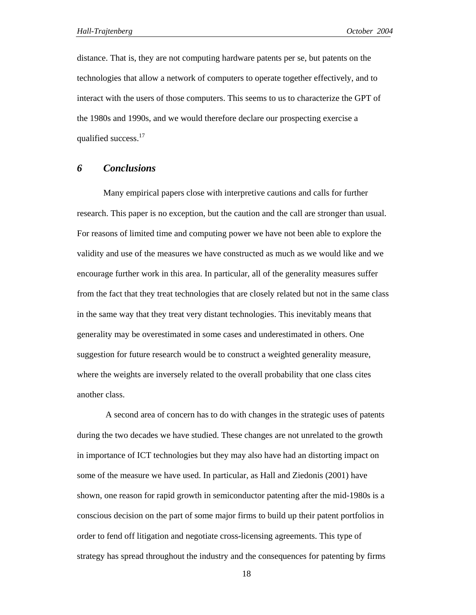distance. That is, they are not computing hardware patents per se, but patents on the technologies that allow a network of computers to operate together effectively, and to interact with the users of those computers. This seems to us to characterize the GPT of the 1980s and 1990s, and we would therefore declare our prospecting exercise a qualified success.<sup>17</sup>

### *6 Conclusions*

Many empirical papers close with interpretive cautions and calls for further research. This paper is no exception, but the caution and the call are stronger than usual. For reasons of limited time and computing power we have not been able to explore the validity and use of the measures we have constructed as much as we would like and we encourage further work in this area. In particular, all of the generality measures suffer from the fact that they treat technologies that are closely related but not in the same class in the same way that they treat very distant technologies. This inevitably means that generality may be overestimated in some cases and underestimated in others. One suggestion for future research would be to construct a weighted generality measure, where the weights are inversely related to the overall probability that one class cites another class.

 A second area of concern has to do with changes in the strategic uses of patents during the two decades we have studied. These changes are not unrelated to the growth in importance of ICT technologies but they may also have had an distorting impact on some of the measure we have used. In particular, as Hall and Ziedonis (2001) have shown, one reason for rapid growth in semiconductor patenting after the mid-1980s is a conscious decision on the part of some major firms to build up their patent portfolios in order to fend off litigation and negotiate cross-licensing agreements. This type of strategy has spread throughout the industry and the consequences for patenting by firms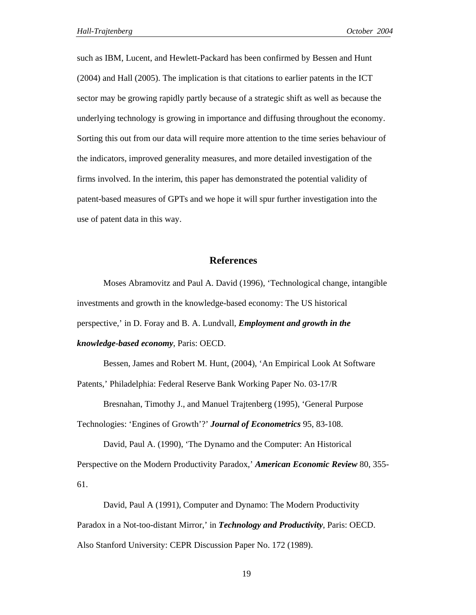such as IBM, Lucent, and Hewlett-Packard has been confirmed by Bessen and Hunt (2004) and Hall (2005). The implication is that citations to earlier patents in the ICT sector may be growing rapidly partly because of a strategic shift as well as because the underlying technology is growing in importance and diffusing throughout the economy. Sorting this out from our data will require more attention to the time series behaviour of the indicators, improved generality measures, and more detailed investigation of the firms involved. In the interim, this paper has demonstrated the potential validity of patent-based measures of GPTs and we hope it will spur further investigation into the use of patent data in this way.

#### **References**

Moses Abramovitz and Paul A. David (1996), 'Technological change, intangible investments and growth in the knowledge-based economy: The US historical perspective,' in D. Foray and B. A. Lundvall, *Employment and growth in the knowledge-based economy*, Paris: OECD.

Bessen, James and Robert M. Hunt, (2004), 'An Empirical Look At Software Patents,' Philadelphia: Federal Reserve Bank Working Paper No. 03-17/R

Bresnahan, Timothy J., and Manuel Trajtenberg (1995), 'General Purpose Technologies: 'Engines of Growth'?' *Journal of Econometrics* 95, 83-108.

David, Paul A. (1990), 'The Dynamo and the Computer: An Historical Perspective on the Modern Productivity Paradox,' *American Economic Review* 80, 355- 61.

David, Paul A (1991), Computer and Dynamo: The Modern Productivity Paradox in a Not-too-distant Mirror,' in *Technology and Productivity*, Paris: OECD. Also Stanford University: CEPR Discussion Paper No. 172 (1989).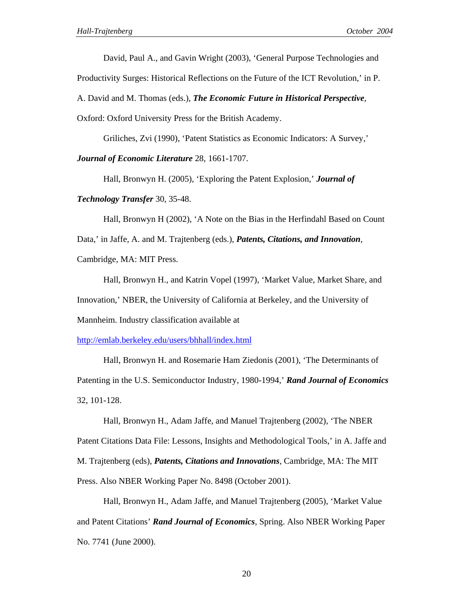David, Paul A., and Gavin Wright (2003), 'General Purpose Technologies and

Productivity Surges: Historical Reflections on the Future of the ICT Revolution,' in P.

A. David and M. Thomas (eds.), *The Economic Future in Historical Perspective*,

Oxford: Oxford University Press for the British Academy.

Griliches, Zvi (1990), 'Patent Statistics as Economic Indicators: A Survey,'

*Journal of Economic Literature* 28, 1661-1707.

Hall, Bronwyn H. (2005), 'Exploring the Patent Explosion,' *Journal of* 

*Technology Transfer* 30, 35-48.

Hall, Bronwyn H (2002), 'A Note on the Bias in the Herfindahl Based on Count Data,' in Jaffe, A. and M. Trajtenberg (eds.), *Patents, Citations, and Innovation*, Cambridge, MA: MIT Press.

Hall, Bronwyn H., and Katrin Vopel (1997), 'Market Value, Market Share, and Innovation,' NBER, the University of California at Berkeley, and the University of Mannheim. Industry classification available at

http://emlab.berkeley.edu/users/bhhall/index.html

Hall, Bronwyn H. and Rosemarie Ham Ziedonis (2001), 'The Determinants of Patenting in the U.S. Semiconductor Industry, 1980-1994,' *Rand Journal of Economics*  32, 101-128.

Hall, Bronwyn H., Adam Jaffe, and Manuel Trajtenberg (2002), 'The NBER Patent Citations Data File: Lessons, Insights and Methodological Tools,' in A. Jaffe and M. Trajtenberg (eds), *Patents, Citations and Innovations*, Cambridge, MA: The MIT Press. Also NBER Working Paper No. 8498 (October 2001).

Hall, Bronwyn H., Adam Jaffe, and Manuel Trajtenberg (2005), 'Market Value and Patent Citations' *Rand Journal of Economics*, Spring. Also NBER Working Paper No. 7741 (June 2000).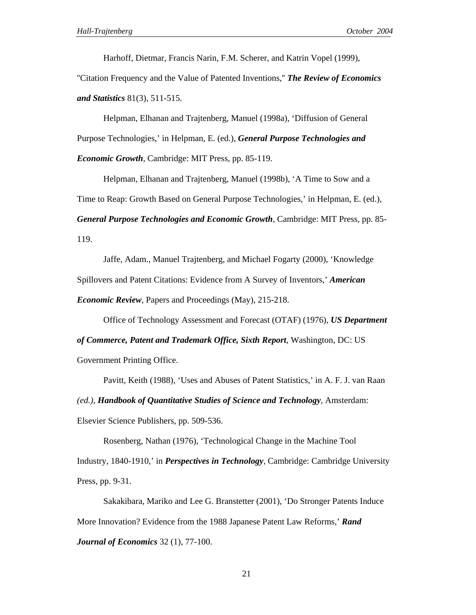Harhoff, Dietmar, Francis Narin, F.M. Scherer, and Katrin Vopel (1999),

''Citation Frequency and the Value of Patented Inventions,'' *The Review of Economics and Statistics* 81(3), 511-515.

Helpman, Elhanan and Trajtenberg, Manuel (1998a), 'Diffusion of General Purpose Technologies,' in Helpman, E. (ed.), *General Purpose Technologies and Economic Growth*, Cambridge: MIT Press, pp. 85-119.

Helpman, Elhanan and Trajtenberg, Manuel (1998b), 'A Time to Sow and a Time to Reap: Growth Based on General Purpose Technologies,' in Helpman, E. (ed.), *General Purpose Technologies and Economic Growth*, Cambridge: MIT Press, pp. 85- 119.

Jaffe, Adam., Manuel Trajtenberg, and Michael Fogarty (2000), 'Knowledge Spillovers and Patent Citations: Evidence from A Survey of Inventors,' *American Economic Review*, Papers and Proceedings (May), 215-218.

Office of Technology Assessment and Forecast (OTAF) (1976), *US Department* 

*of Commerce, Patent and Trademark Office, Sixth Report*, Washington, DC: US Government Printing Office.

Pavitt, Keith (1988), 'Uses and Abuses of Patent Statistics,' in A. F. J. van Raan *(ed.), Handbook of Quantitative Studies of Science and Technology*, Amsterdam: Elsevier Science Publishers, pp. 509-536.

Rosenberg, Nathan (1976), 'Technological Change in the Machine Tool Industry, 1840-1910,' in *Perspectives in Technology,* Cambridge: Cambridge University Press, pp. 9-31.

Sakakibara, Mariko and Lee G. Branstetter (2001), 'Do Stronger Patents Induce More Innovation? Evidence from the 1988 Japanese Patent Law Reforms,' *Rand Journal of Economics* 32 (1), 77-100.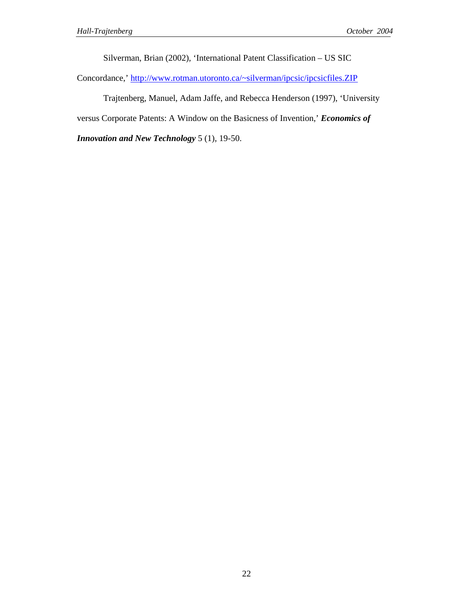Silverman, Brian (2002), 'International Patent Classification – US SIC

Concordance,' http://www.rotman.utoronto.ca/~silverman/ipcsic/ipcsicfiles.ZIP

Trajtenberg, Manuel, Adam Jaffe, and Rebecca Henderson (1997), 'University

versus Corporate Patents: A Window on the Basicness of Invention,' *Economics of* 

*Innovation and New Technology* 5 (1), 19-50.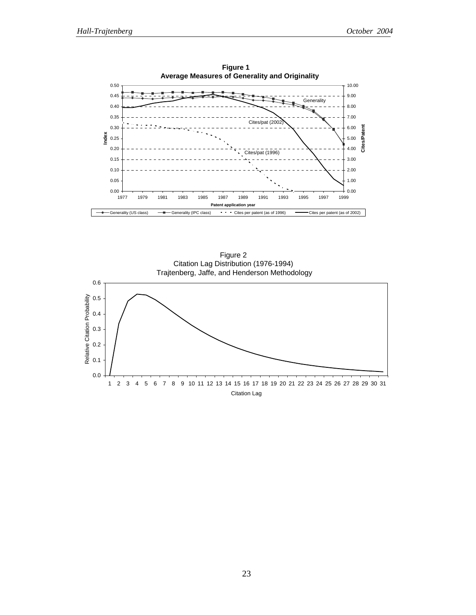

Figure 2 Citation Lag Distribution (1976-1994) Trajtenberg, Jaffe, and Henderson Methodology



Citation Lag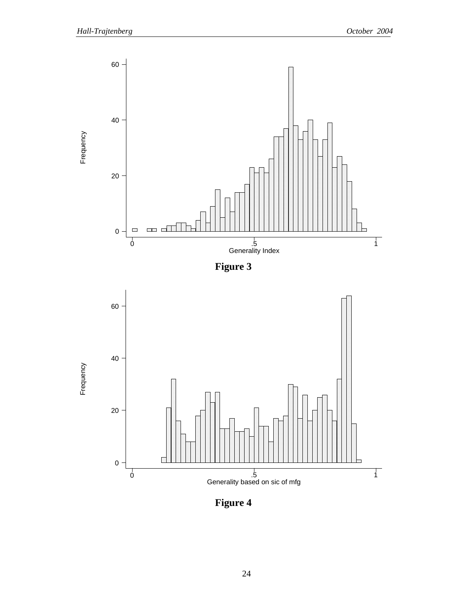

**Figure 4**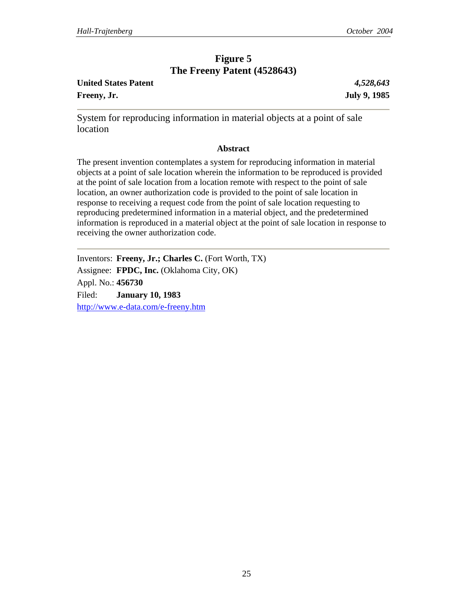## **Figure 5 The Freeny Patent (4528643)**

| <b>United States Patent</b> |  |
|-----------------------------|--|
| Freeny, Jr.                 |  |

**United States Patent** *4,528,643* **Freeny, Jr. July 9, 1985** 

System for reproducing information in material objects at a point of sale location

### **Abstract**

The present invention contemplates a system for reproducing information in material objects at a point of sale location wherein the information to be reproduced is provided at the point of sale location from a location remote with respect to the point of sale location, an owner authorization code is provided to the point of sale location in response to receiving a request code from the point of sale location requesting to reproducing predetermined information in a material object, and the predetermined information is reproduced in a material object at the point of sale location in response to receiving the owner authorization code.

Inventors: **Freeny, Jr.; Charles C.** (Fort Worth, TX) Assignee: **FPDC, Inc.** (Oklahoma City, OK) Appl. No.: **456730** Filed: **January 10, 1983** http://www.e-data.com/e-freeny.htm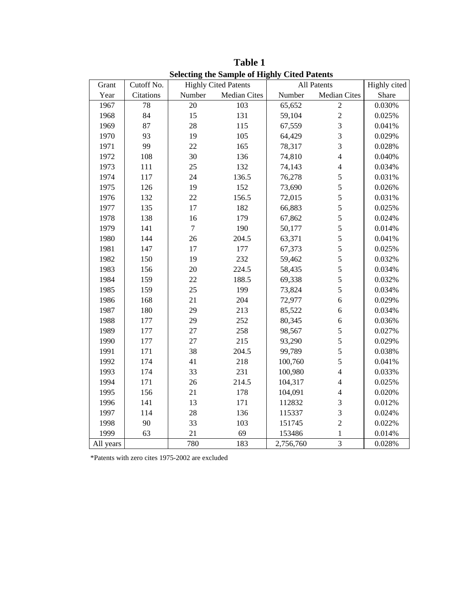| Grant     | Cutoff No. | <b>Highly Cited Patents</b> |                     | All Patents | Highly cited            |        |
|-----------|------------|-----------------------------|---------------------|-------------|-------------------------|--------|
| Year      | Citations  | Number                      | <b>Median Cites</b> | Number      | <b>Median Cites</b>     | Share  |
| 1967      | 78         | 20                          | 103                 | 65,652      | $\boldsymbol{2}$        | 0.030% |
| 1968      | 84         | 15                          | 131                 | 59,104      | $\overline{c}$          | 0.025% |
| 1969      | 87         | 28                          | 115                 | 67,559      | 3                       | 0.041% |
| 1970      | 93         | 19                          | 105                 | 64,429      | 3                       | 0.029% |
| 1971      | 99         | 22                          | 165                 | 78,317      | $\overline{3}$          | 0.028% |
| 1972      | 108        | 30                          | 136                 | 74,810      | $\overline{4}$          | 0.040% |
| 1973      | 111        | 25                          | 132                 | 74,143      | $\overline{4}$          | 0.034% |
| 1974      | 117        | 24                          | 136.5               | 76,278      | 5                       | 0.031% |
| 1975      | 126        | 19                          | 152                 | 73,690      | 5                       | 0.026% |
| 1976      | 132        | 22                          | 156.5               | 72,015      | 5                       | 0.031% |
| 1977      | 135        | 17                          | 182                 | 66,883      | 5                       | 0.025% |
| 1978      | 138        | 16                          | 179                 | 67,862      | 5                       | 0.024% |
| 1979      | 141        | $\boldsymbol{7}$            | 190                 | 50,177      | 5                       | 0.014% |
| 1980      | 144        | 26                          | 204.5               | 63,371      | 5                       | 0.041% |
| 1981      | 147        | 17                          | 177                 | 67,373      | $\overline{5}$          | 0.025% |
| 1982      | 150        | 19                          | 232                 | 59,462      | 5                       | 0.032% |
| 1983      | 156        | 20                          | 224.5               | 58,435      | 5                       | 0.034% |
| 1984      | 159        | 22                          | 188.5               | 69,338      | 5                       | 0.032% |
| 1985      | 159        | 25                          | 199                 | 73,824      | 5                       | 0.034% |
| 1986      | 168        | 21                          | 204                 | 72,977      | 6                       | 0.029% |
| 1987      | 180        | 29                          | 213                 | 85,522      | 6                       | 0.034% |
| 1988      | 177        | 29                          | 252                 | 80,345      | $\boldsymbol{6}$        | 0.036% |
| 1989      | 177        | 27                          | 258                 | 98,567      | 5                       | 0.027% |
| 1990      | 177        | $27\,$                      | 215                 | 93,290      | 5                       | 0.029% |
| 1991      | 171        | 38                          | 204.5               | 99,789      | 5                       | 0.038% |
| 1992      | 174        | 41                          | 218                 | 100,760     | 5                       | 0.041% |
| 1993      | 174        | 33                          | 231                 | 100,980     | $\overline{4}$          | 0.033% |
| 1994      | 171        | 26                          | 214.5               | 104,317     | $\overline{4}$          | 0.025% |
| 1995      | 156        | 21                          | 178                 | 104,091     | $\overline{4}$          | 0.020% |
| 1996      | 141        | 13                          | 171                 | 112832      | 3                       | 0.012% |
| 1997      | 114        | 28                          | 136                 | 115337      | $\overline{\mathbf{3}}$ | 0.024% |
| 1998      | 90         | 33                          | 103                 | 151745      | $\overline{c}$          | 0.022% |
| 1999      | 63         | 21                          | 69                  | 153486      | 1                       | 0.014% |
| All years |            | 780                         | 183                 | 2,756,760   | $\overline{3}$          | 0.028% |

**Table 1 Selecting the Sample of Highly Cited Patents**

\*Patents with zero cites 1975-2002 are excluded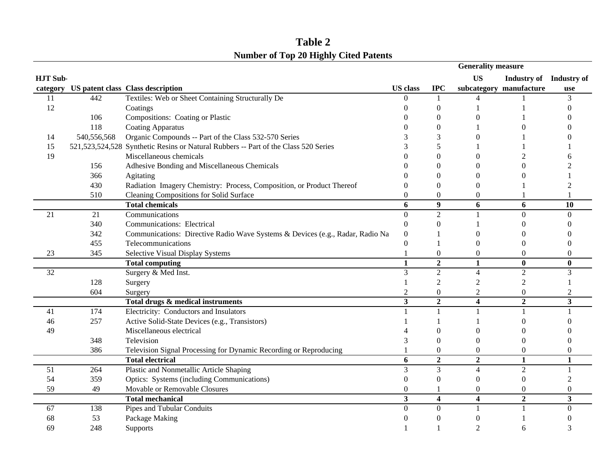|                 |             |                                                                                     |                         |                         | <b>Generality measure</b> |                         |                         |
|-----------------|-------------|-------------------------------------------------------------------------------------|-------------------------|-------------------------|---------------------------|-------------------------|-------------------------|
| <b>HJT Sub-</b> |             |                                                                                     |                         |                         | <b>US</b>                 | Industry of Industry of |                         |
|                 |             | category US patent class Class description                                          | <b>US</b> class         | <b>IPC</b>              |                           | subcategory manufacture | use                     |
| 11              | 442         | Textiles: Web or Sheet Containing Structurally De                                   | ∩                       | 1                       | $\Delta$                  |                         | 3                       |
| 12              |             | Coatings                                                                            |                         | $\theta$                |                           |                         |                         |
|                 | 106         | Compositions: Coating or Plastic                                                    |                         | 0                       | 0                         |                         |                         |
|                 | 118         | <b>Coating Apparatus</b>                                                            |                         | 0                       |                           |                         |                         |
| 14              | 540,556,568 | Organic Compounds -- Part of the Class 532-570 Series                               |                         |                         |                           |                         |                         |
| 15              |             | 521,523,524,528 Synthetic Resins or Natural Rubbers -- Part of the Class 520 Series |                         |                         |                           |                         |                         |
| 19              |             | Miscellaneous chemicals                                                             |                         | 0                       | 0                         |                         |                         |
|                 | 156         | Adhesive Bonding and Miscellaneous Chemicals                                        |                         | 0                       | 0                         |                         |                         |
|                 | 366         | Agitating                                                                           |                         | $\Omega$                | 0                         |                         |                         |
|                 | 430         | Radiation Imagery Chemistry: Process, Composition, or Product Thereof               | O                       | $\theta$                | $\Omega$                  |                         |                         |
|                 | 510         | Cleaning Compositions for Solid Surface                                             | $\Omega$                | $\boldsymbol{0}$        | $\theta$                  |                         |                         |
|                 |             | <b>Total chemicals</b>                                                              | 6                       | $\boldsymbol{9}$        | 6                         | 6                       | 10                      |
| 21              | 21          | Communications                                                                      | $\Omega$                | $\overline{2}$          |                           | $\mathbf{0}$            | $\theta$                |
|                 | 340         | Communications: Electrical                                                          | $\Omega$                | $\theta$                |                           | $\left($                |                         |
|                 | 342         | Communications: Directive Radio Wave Systems & Devices (e.g., Radar, Radio Na       | 0                       |                         | 0                         | $\left($                |                         |
|                 | 455         | Telecommunications                                                                  | $\overline{0}$          |                         | $\Omega$                  | $\Omega$                |                         |
| 23              | 345         | Selective Visual Display Systems                                                    |                         | $\boldsymbol{0}$        | $\Omega$                  | $\Omega$                |                         |
|                 |             | <b>Total computing</b>                                                              | $\mathbf{1}$            | $\overline{2}$          | $\mathbf{1}$              | $\bf{0}$                | $\bf{0}$                |
| 32              |             | Surgery & Med Inst.                                                                 | 3                       | $\overline{c}$          | $\overline{4}$            | $\overline{2}$          | 3                       |
|                 | 128         | Surgery                                                                             |                         | $\overline{c}$          | $\overline{2}$            | $\overline{2}$          |                         |
|                 | 604         | Surgery                                                                             | $\overline{2}$          | $\boldsymbol{0}$        | $\overline{c}$            | $\boldsymbol{0}$        | $\overline{2}$          |
|                 |             | Total drugs & medical instruments                                                   | $\overline{\mathbf{3}}$ | $\overline{2}$          | $\overline{\mathbf{4}}$   | $\overline{2}$          | 3                       |
| 41              | 174         | Electricity: Conductors and Insulators                                              |                         | 1                       |                           |                         |                         |
| 46              | 257         | Active Solid-State Devices (e.g., Transistors)                                      |                         |                         |                           | $\left($                |                         |
| 49              |             | Miscellaneous electrical                                                            |                         | 0                       | 0                         |                         |                         |
|                 | 348         | Television                                                                          |                         | $\overline{0}$          | $\Omega$                  | $\Omega$                |                         |
|                 | 386         | Television Signal Processing for Dynamic Recording or Reproducing                   |                         | $\boldsymbol{0}$        | $\theta$                  | $\boldsymbol{0}$        |                         |
|                 |             | <b>Total electrical</b>                                                             | 6                       | $\overline{2}$          | $\overline{2}$            | $\mathbf{1}$            | 1                       |
| 51              | 264         | Plastic and Nonmetallic Article Shaping                                             | 3                       | 3                       | $\overline{4}$            | $\overline{2}$          | $\mathbf{1}$            |
| 54              | 359         | Optics: Systems (including Communications)                                          | $\Omega$                | $\boldsymbol{0}$        | $\theta$                  | $\boldsymbol{0}$        |                         |
| 59              | 49          | Movable or Removable Closures                                                       | $\Omega$                |                         | $\theta$                  | $\theta$                | $\theta$                |
|                 |             | <b>Total mechanical</b>                                                             | $\overline{\mathbf{3}}$ | $\overline{\mathbf{4}}$ | $\overline{\mathbf{4}}$   | $\overline{2}$          | $\overline{\mathbf{3}}$ |
| 67              | 138         | Pipes and Tubular Conduits                                                          | $\Omega$                | $\boldsymbol{0}$        | 1                         |                         | $\theta$                |
| 68              | 53          | Package Making                                                                      |                         | 0                       | $\theta$                  |                         |                         |
| 69              | 248         | Supports                                                                            |                         |                         | $\mathfrak{D}$            | 6                       |                         |

**Number of Top 20 Highly Cited Patents Table 2**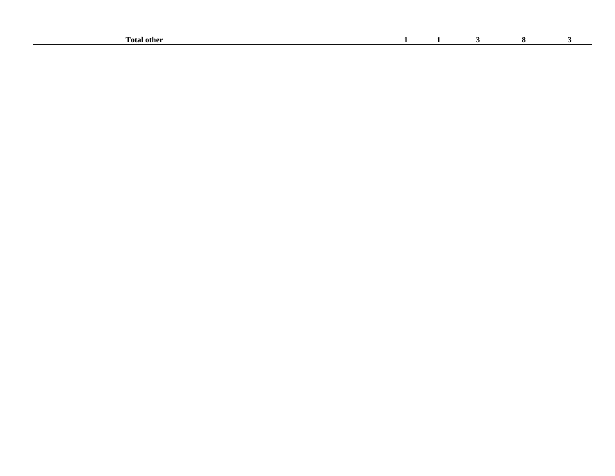| Fotal<br>. other |  |  |  |
|------------------|--|--|--|
|                  |  |  |  |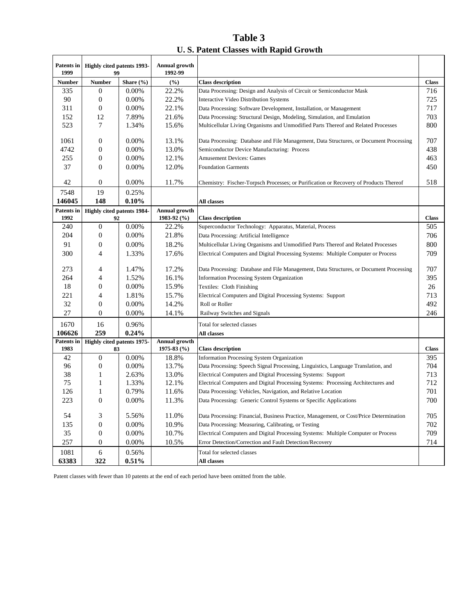| Table 3                               |
|---------------------------------------|
| U.S. Patent Classes with Rapid Growth |

| <b>Patents</b> in<br>1999 | <b>Highly cited patents 1993-</b><br>99 |               | Annual growth<br>1992-99 |                                                                                        |              |
|---------------------------|-----------------------------------------|---------------|--------------------------|----------------------------------------------------------------------------------------|--------------|
| <b>Number</b>             | <b>Number</b>                           | Share $(\% )$ | $(\%)$                   | <b>Class description</b>                                                               | <b>Class</b> |
| 335                       | $\theta$                                | 0.00%         | 22.2%                    | Data Processing: Design and Analysis of Circuit or Semiconductor Mask                  | 716          |
| 90                        | $\mathbf{0}$                            | 0.00%         | 22.2%                    | Interactive Video Distribution Systems                                                 | 725          |
| 311                       | $\mathbf{0}$                            | 0.00%         | 22.1%                    | Data Processing: Software Development, Installation, or Management                     | 717          |
| 152                       | 12                                      | 7.89%         | 21.6%                    | Data Processing: Structural Design, Modeling, Simulation, and Emulation                | 703          |
| 523                       | 7                                       | 1.34%         | 15.6%                    | Multicellular Living Organisms and Unmodified Parts Thereof and Related Processes      | 800          |
| 1061                      | $\boldsymbol{0}$                        | 0.00%         | 13.1%                    | Data Processing: Database and File Management, Data Structures, or Document Processing | 707          |
| 4742                      | $\boldsymbol{0}$                        | 0.00%         | 13.0%                    | Semiconductor Device Manufacturing: Process                                            | 438          |
| 255                       | $\boldsymbol{0}$                        | 0.00%         | 12.1%                    | <b>Amusement Devices: Games</b>                                                        | 463          |
| 37                        | $\boldsymbol{0}$                        | 0.00%         | 12.0%                    | <b>Foundation Garments</b>                                                             | 450          |
|                           |                                         |               |                          |                                                                                        |              |
| 42                        | $\boldsymbol{0}$                        | 0.00%         | 11.7%                    | Chemistry: Fischer-Torpsch Processes; or Purification or Recovery of Products Thereof  | 518          |
| 7548                      | 19                                      | 0.25%         |                          |                                                                                        |              |
| 146045                    | 148                                     | $0.10\%$      |                          | All classes                                                                            |              |
| <b>Patents</b> in         | <b>Highly cited patents 1984-</b>       |               | Annual growth            |                                                                                        |              |
| 1992                      | 92                                      |               | 1983-92 (%)              | <b>Class description</b>                                                               | <b>Class</b> |
| 240                       | $\boldsymbol{0}$                        | 0.00%         | 22.2%                    | Superconductor Technology: Apparatus, Material, Process                                | 505          |
| 204                       | $\boldsymbol{0}$                        | 0.00%         | 21.8%                    | Data Processing: Artificial Intelligence                                               | 706          |
| 91                        | $\boldsymbol{0}$                        | 0.00%         | 18.2%                    | Multicellular Living Organisms and Unmodified Parts Thereof and Related Processes      | 800          |
| 300                       | 4                                       | 1.33%         | 17.6%                    | Electrical Computers and Digital Processing Systems: Multiple Computer or Process      | 709          |
| 273                       | 4                                       | 1.47%         | 17.2%                    | Data Processing: Database and File Management, Data Structures, or Document Processing | 707          |
| 264                       | 4                                       | 1.52%         | 16.1%                    | <b>Information Processing System Organization</b>                                      | 395          |
| 18                        | $\boldsymbol{0}$                        | 0.00%         | 15.9%                    | Textiles: Cloth Finishing                                                              | 26           |
| 221                       | 4                                       | 1.81%         | 15.7%                    | Electrical Computers and Digital Processing Systems: Support                           | 713          |
| 32                        | $\boldsymbol{0}$                        | 0.00%         | 14.2%                    | Roll or Roller                                                                         | 492          |
| 27                        | $\boldsymbol{0}$                        | 0.00%         | 14.1%                    | Railway Switches and Signals                                                           | 246          |
| 1670                      | 16                                      | 0.96%         |                          | Total for selected classes                                                             |              |
| 106626                    | 259                                     | 0.24%         |                          | All classes                                                                            |              |
| <b>Patents</b> in         | Highly cited patents 1975-              |               | <b>Annual growth</b>     |                                                                                        |              |
| 1983                      | 83                                      |               | 1975-83 $(%$             | <b>Class description</b>                                                               | <b>Class</b> |
| 42                        | $\boldsymbol{0}$                        | 0.00%         | 18.8%                    | Information Processing System Organization                                             | 395          |
| 96                        | $\boldsymbol{0}$                        | 0.00%         | 13.7%                    | Data Processing: Speech Signal Processing, Linguistics, Language Translation, and      | 704          |
| 38                        | 1                                       | 2.63%         | 13.0%                    | Electrical Computers and Digital Processing Systems: Support                           | 713          |
| 75                        | 1                                       | 1.33%         | 12.1%                    | Electrical Computers and Digital Processing Systems: Processing Architectures and      | 712          |
| 126                       | 1                                       | 0.79%         | 11.6%                    | Data Processing: Vehicles, Navigation, and Relative Location                           | 701          |
| 223                       | $\mathbf{0}$                            | 0.00%         | 11.3%                    | Data Processing: Generic Control Systems or Specific Applications                      | 700          |
| 54                        | 3                                       | 5.56%         | 11.0%                    | Data Processing: Financial, Business Practice, Management, or Cost/Price Determination | 705          |
| 135                       | $\boldsymbol{0}$                        | 0.00%         | 10.9%                    | Data Processing: Measuring, Calibrating, or Testing                                    | 702          |
| 35                        | $\boldsymbol{0}$                        | 0.00%         | 10.7%                    | Electrical Computers and Digital Processing Systems: Multiple Computer or Process      | 709          |
| 257                       | $\boldsymbol{0}$                        | 0.00%         | 10.5%                    | Error Detection/Correction and Fault Detection/Recovery                                | 714          |
| 1081                      | $\sqrt{6}$                              | 0.56%         |                          | Total for selected classes                                                             |              |
| 63383                     | 322                                     | 0.51%         |                          | All classes                                                                            |              |

Patent classes with fewer than 10 patents at the end of each period have been omitted from the table.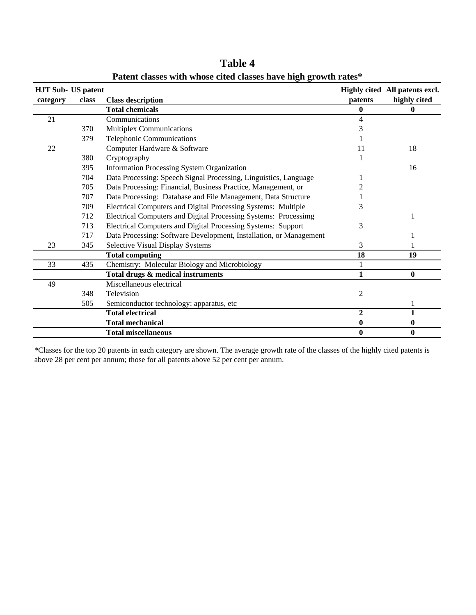| <b>HJT Sub- US patent</b> |       |                                                                    |              | Highly cited All patents excl. |
|---------------------------|-------|--------------------------------------------------------------------|--------------|--------------------------------|
| category                  | class | <b>Class description</b>                                           | patents      | highly cited                   |
|                           |       | <b>Total chemicals</b>                                             | $\bf{0}$     | 0                              |
| 21                        |       | Communications                                                     | 4            |                                |
|                           | 370   | <b>Multiplex Communications</b>                                    | 3            |                                |
|                           | 379   | Telephonic Communications                                          |              |                                |
| 22                        |       | Computer Hardware & Software                                       | 11           | 18                             |
|                           | 380   | Cryptography                                                       |              |                                |
|                           | 395   | Information Processing System Organization                         |              | 16                             |
|                           | 704   | Data Processing: Speech Signal Processing, Linguistics, Language   |              |                                |
|                           | 705   | Data Processing: Financial, Business Practice, Management, or      |              |                                |
|                           | 707   | Data Processing: Database and File Management, Data Structure      |              |                                |
|                           | 709   | Electrical Computers and Digital Processing Systems: Multiple      | 3            |                                |
|                           | 712   | Electrical Computers and Digital Processing Systems: Processimg    |              |                                |
|                           | 713   | Electrical Computers and Digital Processing Systems: Support       | 3            |                                |
|                           | 717   | Data Processing: Software Development, Installation, or Management |              |                                |
| 23                        | 345   | Selective Visual Display Systems                                   | 3            |                                |
|                           |       | <b>Total computing</b>                                             | 18           | 19                             |
| 33                        | 435   | Chemistry: Molecular Biology and Microbiology                      |              |                                |
|                           |       | Total drugs & medical instruments                                  | 1            | $\bf{0}$                       |
| 49                        |       | Miscellaneous electrical                                           |              |                                |
|                           | 348   | Television                                                         | 2            |                                |
|                           | 505   | Semiconductor technology: apparatus, etc                           |              |                                |
|                           |       | <b>Total electrical</b>                                            | $\mathbf{2}$ | $\mathbf{1}$                   |
|                           |       | <b>Total mechanical</b>                                            | $\bf{0}$     | $\bf{0}$                       |
|                           |       | <b>Total miscellaneous</b>                                         | $\bf{0}$     | $\bf{0}$                       |

**Patent classes with whose cited classes have high growth rates\* Table 4**

\*Classes for the top 20 patents in each category are shown. The average growth rate of the classes of the highly cited patents is above 28 per cent per annum; those for all patents above 52 per cent per annum.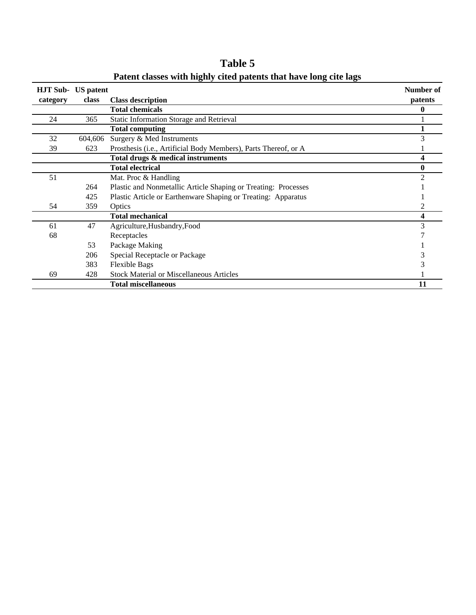| <b>HJT Sub-</b> | <b>US</b> patent | $P^{\text{max}}$ vive purchase ville in $\epsilon$              | Number of |
|-----------------|------------------|-----------------------------------------------------------------|-----------|
| category        | class            | <b>Class description</b>                                        | patents   |
|                 |                  | <b>Total chemicals</b>                                          | 0         |
| 24              | 365              | Static Information Storage and Retrieval                        |           |
|                 |                  | <b>Total computing</b>                                          |           |
| 32              | 604,606          | Surgery & Med Instruments                                       |           |
| 39              | 623              | Prosthesis (i.e., Artificial Body Members), Parts Thereof, or A |           |
|                 |                  | Total drugs & medical instruments                               |           |
|                 |                  | <b>Total electrical</b>                                         |           |
| 51              |                  | Mat. Proc & Handling                                            |           |
|                 | 264              | Plastic and Nonmetallic Article Shaping or Treating: Processes  |           |
|                 | 425              | Plastic Article or Earthenware Shaping or Treating: Apparatus   |           |
| 54              | 359              | Optics                                                          |           |
|                 |                  | <b>Total mechanical</b>                                         |           |
| 61              | 47               | Agriculture, Husbandry, Food                                    |           |
| 68              |                  | Receptacles                                                     |           |
|                 | 53               | Package Making                                                  |           |
|                 | 206              | Special Receptacle or Package                                   |           |
|                 | 383              | <b>Flexible Bags</b>                                            |           |
| 69              | 428              | <b>Stock Material or Miscellaneous Articles</b>                 |           |
|                 |                  | <b>Total miscellaneous</b>                                      | 11        |

**Patent classes with highly cited patents that have long cite lags Table 5**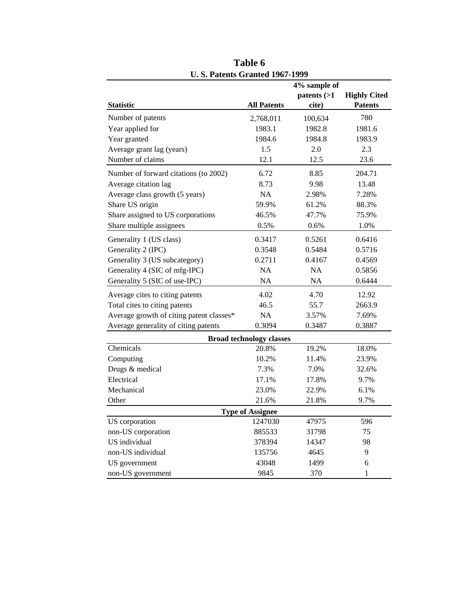|                                          |                                 | 4% sample of |                     |
|------------------------------------------|---------------------------------|--------------|---------------------|
|                                          |                                 | patterns (>1 | <b>Highly Cited</b> |
| <b>Statistic</b>                         | <b>All Patents</b>              | cite)        | <b>Patents</b>      |
| Number of patents                        | 2,768,011                       | 100,634      | 780                 |
| Year applied for                         | 1983.1                          | 1982.8       | 1981.6              |
| Year granted                             | 1984.6                          | 1984.8       | 1983.9              |
| Average grant lag (years)                | 1.5                             | 2.0          | 2.3                 |
| Number of claims                         | 12.1                            | 12.5         | 23.6                |
| Number of forward citations (to 2002)    | 6.72                            | 8.85         | 204.71              |
| Average citation lag                     | 8.73                            | 9.98         | 13.48               |
| Average class growth (5 years)           | NA                              | 2.98%        | 7.28%               |
| Share US origin                          | 59.9%                           | 61.2%        | 88.3%               |
| Share assigned to US corporations        | 46.5%                           | 47.7%        | 75.9%               |
| Share multiple assignees                 | 0.5%                            | 0.6%         | 1.0%                |
| Generality 1 (US class)                  | 0.3417                          | 0.5261       | 0.6416              |
| Generality 2 (IPC)                       | 0.3548                          | 0.5484       | 0.5716              |
| Generality 3 (US subcategory)            | 0.2711                          | 0.4167       | 0.4569              |
| Generality 4 (SIC of mfg-IPC)            | NA                              | <b>NA</b>    | 0.5856              |
| Generality 5 (SIC of use-IPC)            | <b>NA</b>                       | <b>NA</b>    | 0.6444              |
| Average cites to citing patents          | 4.02                            | 4.70         | 12.92               |
| Total cites to citing patents            | 46.5                            | 55.7         | 2663.9              |
| Average growth of citing patent classes* | <b>NA</b>                       | 3.57%        | 7.69%               |
| Average generality of citing patents     | 0.3094                          | 0.3487       | 0.3887              |
|                                          | <b>Broad technology classes</b> |              |                     |
| Chemicals                                | 20.8%                           | 19.2%        | 18.0%               |
| Computing                                | 10.2%                           | 11.4%        | 23.9%               |
| Drugs & medical                          | 7.3%                            | 7.0%         | 32.6%               |
| Electrical                               | 17.1%                           | 17.8%        | 9.7%                |
| Mechanical                               | 23.0%                           | 22.9%        | 6.1%                |
| Other                                    | 21.6%                           | 21.8%        | 9.7%                |
|                                          | <b>Type of Assignee</b>         |              |                     |
| US corporation                           | 1247030                         | 47975        | 596                 |
| non-US corporation                       | 885533                          | 31798        | 75                  |
| US individual                            | 378394                          | 14347        | 98                  |
| non-US individual                        | 135756                          | 4645         | 9                   |
| US government                            | 43048                           | 1499         | 6                   |
| non-US government                        | 9845                            | 370          | 1                   |

**Table 6 U. S. Patents Granted 1967-1999**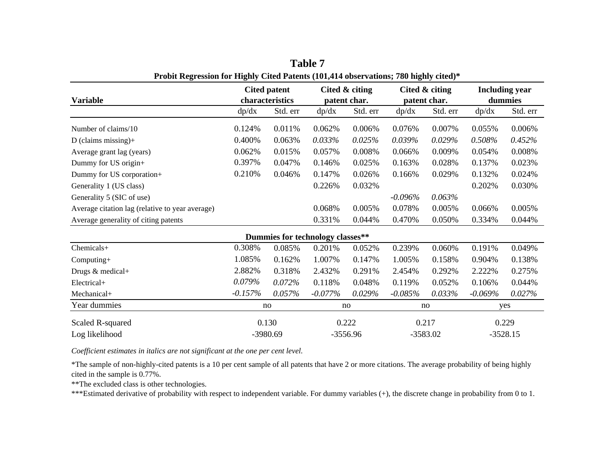| <b>Variable</b>                                 | <b>Cited patent</b><br>characteristics |          | Cited & citing<br>patent char.   |          |            | Cited & citing<br>patent char. | <b>Including year</b><br>dummies |          |
|-------------------------------------------------|----------------------------------------|----------|----------------------------------|----------|------------|--------------------------------|----------------------------------|----------|
|                                                 | dp/dx                                  | Std. err | dp/dx                            | Std. err | dp/dx      | Std. err                       | dp/dx                            | Std. err |
| Number of claims/10                             | 0.124%                                 | 0.011%   | 0.062%                           | 0.006%   | 0.076%     | 0.007%                         | 0.055%                           | 0.006%   |
| $D$ (claims missing)+                           | 0.400%                                 | 0.063%   | 0.033%                           | 0.025%   | 0.039%     | 0.029%                         | 0.508%                           | 0.452%   |
| Average grant lag (years)                       | 0.062%                                 | 0.015%   | 0.057%                           | 0.008%   | 0.066%     | 0.009%                         | 0.054%                           | 0.008%   |
| Dummy for US origin+                            | 0.397%                                 | 0.047%   | 0.146%                           | 0.025%   | 0.163%     | 0.028%                         | 0.137%                           | 0.023%   |
| Dummy for US corporation+                       | 0.210%                                 | 0.046%   | 0.147%                           | 0.026%   | 0.166%     | 0.029%                         | 0.132%                           | 0.024%   |
| Generality 1 (US class)                         |                                        |          | 0.226%                           | 0.032%   |            |                                | 0.202%                           | 0.030%   |
| Generality 5 (SIC of use)                       |                                        |          |                                  |          | $-0.096%$  | 0.063%                         |                                  |          |
| Average citation lag (relative to year average) |                                        |          | 0.068%                           | 0.005%   | 0.078%     | 0.005%                         | 0.066%                           | 0.005%   |
| Average generality of citing patents            |                                        |          | 0.331%                           | 0.044%   | 0.470%     | 0.050%                         | 0.334%                           | 0.044%   |
|                                                 |                                        |          | Dummies for technology classes** |          |            |                                |                                  |          |
| Chemicals+                                      | 0.308%                                 | 0.085%   | 0.201%                           | 0.052%   | 0.239%     | 0.060%                         | 0.191%                           | 0.049%   |
| Computing+                                      | 1.085%                                 | 0.162%   | 1.007%                           | 0.147%   | 1.005%     | 0.158%                         | 0.904%                           | 0.138%   |
| Drugs & medical+                                | 2.882%                                 | 0.318%   | 2.432%                           | 0.291%   | 2.454%     | 0.292%                         | 2.222%                           | 0.275%   |
| Electrical+                                     | 0.079%                                 | 0.072%   | 0.118%                           | 0.048%   | 0.119%     | 0.052%                         | 0.106%                           | 0.044%   |
| Mechanical+                                     | $-0.157%$                              | 0.057%   | $-0.077%$                        | 0.029%   | $-0.085\%$ | 0.033%                         | $-0.069%$                        | 0.027%   |
| Year dummies                                    |                                        | no       |                                  | no       | no         |                                | yes                              |          |
| Scaled R-squared                                |                                        | 0.130    |                                  | 0.222    | 0.217      |                                |                                  | 0.229    |
| Log likelihood                                  |                                        | -3980.69 | $-3556.96$                       |          |            | $-3583.02$                     | $-3528.15$                       |          |

**Table 7Probit Regression for Highly Cited Patents (101,414 observations; 780 highly cited)\***

*Coefficient estimates in italics are not significant at the one per cent level.*

\*The sample of non-highly-cited patents is a 10 per cent sample of all patents that have 2 or more citations. The average probability of being highly cited in the sample is 0.77%.

\*\*The excluded class is other technologies.

\*\*\*Estimated derivative of probability with respect to independent variable. For dummy variables (+), the discrete change in probability from 0 to 1.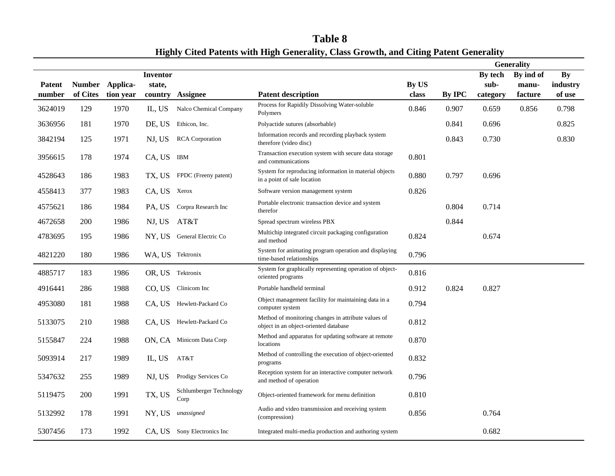|         |          |                 |              |                                 |                                                                                              |       |               |          | <b>Generality</b> |           |
|---------|----------|-----------------|--------------|---------------------------------|----------------------------------------------------------------------------------------------|-------|---------------|----------|-------------------|-----------|
|         |          |                 | Inventor     |                                 |                                                                                              |       |               | By tech  | By ind of         | <b>By</b> |
| Patent  |          | Number Applica- | state,       |                                 |                                                                                              | By US |               | sub-     | manu-             | industry  |
| number  | of Cites | tion year       | country      | <b>Assignee</b>                 | <b>Patent description</b>                                                                    | class | <b>By IPC</b> | category | facture           | of use    |
| 3624019 | 129      | 1970            | IL, US       | Nalco Chemical Company          | Process for Rapidily Dissolving Water-soluble<br>Polymers                                    | 0.846 | 0.907         | 0.659    | 0.856             | 0.798     |
| 3636956 | 181      | 1970            | DE, US       | Ethicon, Inc.                   | Polyactide sutures (absorbable)                                                              |       | 0.841         | 0.696    |                   | 0.825     |
| 3842194 | 125      | 1971            | NJ, US       | <b>RCA</b> Corporation          | Information records and recording playback system<br>therefore (video disc)                  |       | 0.843         | 0.730    |                   | 0.830     |
| 3956615 | 178      | 1974            | CA, US IBM   |                                 | Transaction execution system with secure data storage<br>and communications                  | 0.801 |               |          |                   |           |
| 4528643 | 186      | 1983            |              | TX, US FPDC (Freeny patent)     | System for reproducing information in material objects<br>in a point of sale location        | 0.880 | 0.797         | 0.696    |                   |           |
| 4558413 | 377      | 1983            | CA, US Xerox |                                 | Software version management system                                                           | 0.826 |               |          |                   |           |
| 4575621 | 186      | 1984            | PA, US       | Corpra Research Inc             | Portable electronic transaction device and system<br>therefor                                |       | 0.804         | 0.714    |                   |           |
| 4672658 | 200      | 1986            | NJ, US       | AT&T                            | Spread spectrum wireless PBX                                                                 |       | 0.844         |          |                   |           |
| 4783695 | 195      | 1986            |              | NY, US General Electric Co      | Multichip integrated circuit packaging configuration<br>and method                           | 0.824 |               | 0.674    |                   |           |
| 4821220 | 180      | 1986            |              | WA, US Tektronix                | System for animating program operation and displaying<br>time-based relationships            | 0.796 |               |          |                   |           |
| 4885717 | 183      | 1986            |              | OR, US Tektronix                | System for graphically representing operation of object-<br>oriented programs                | 0.816 |               |          |                   |           |
| 4916441 | 286      | 1988            |              | CO, US Clinicom Inc             | Portable handheld terminal                                                                   | 0.912 | 0.824         | 0.827    |                   |           |
| 4953080 | 181      | 1988            |              | CA, US Hewlett-Packard Co       | Object management facility for maintaining data in a<br>computer system                      | 0.794 |               |          |                   |           |
| 5133075 | 210      | 1988            | CA, US       | Hewlett-Packard Co              | Method of monitoring changes in attribute values of<br>object in an object-oriented database | 0.812 |               |          |                   |           |
| 5155847 | 224      | 1988            |              | ON, CA Minicom Data Corp        | Method and apparatus for updating software at remote<br>locations                            | 0.870 |               |          |                   |           |
| 5093914 | 217      | 1989            | IL, US       | AT&T                            | Method of controlling the execution of object-oriented<br>programs                           | 0.832 |               |          |                   |           |
| 5347632 | 255      | 1989            | NJ, US       | Prodigy Services Co             | Reception system for an interactive computer network<br>and method of operation              | 0.796 |               |          |                   |           |
| 5119475 | 200      | 1991            | TX, US       | Schlumberger Technology<br>Corp | Object-oriented framework for menu definition                                                | 0.810 |               |          |                   |           |
| 5132992 | 178      | 1991            | NY, US       | unassigned                      | Audio and video transmission and receiving system<br>(compression)                           | 0.856 |               | 0.764    |                   |           |
| 5307456 | 173      | 1992            |              | CA, US Sony Electronics Inc     | Integrated multi-media production and authoring system                                       |       |               | 0.682    |                   |           |

**Table 8 Highly Cited Patents with High Generality, Class Growth, and Citing Patent Generality**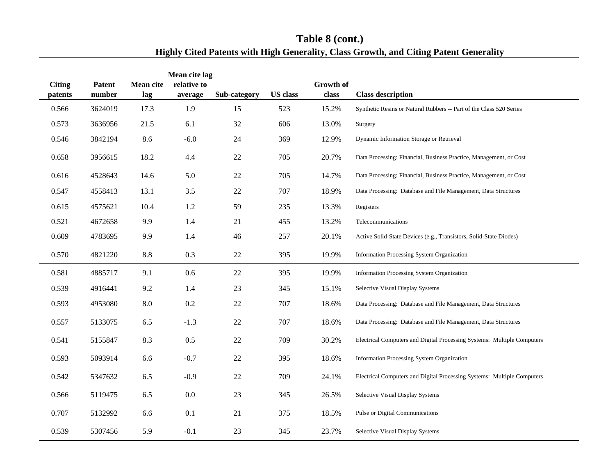|                          |                         |                         | Mean cite lag          |              |                 |                           |                                                                         |
|--------------------------|-------------------------|-------------------------|------------------------|--------------|-----------------|---------------------------|-------------------------------------------------------------------------|
| <b>Citing</b><br>patents | <b>Patent</b><br>number | <b>Mean cite</b><br>lag | relative to<br>average | Sub-category | <b>US</b> class | <b>Growth of</b><br>class | <b>Class description</b>                                                |
| 0.566                    | 3624019                 | 17.3                    | 1.9                    | 15           | 523             | 15.2%                     | Synthetic Resins or Natural Rubbers -- Part of the Class 520 Series     |
| 0.573                    | 3636956                 | 21.5                    | 6.1                    | 32           | 606             | 13.0%                     | Surgery                                                                 |
| 0.546                    | 3842194                 | 8.6                     | $-6.0$                 | 24           | 369             | 12.9%                     | Dynamic Information Storage or Retrieval                                |
| 0.658                    | 3956615                 | 18.2                    | 4.4                    | $22\,$       | 705             | 20.7%                     | Data Processing: Financial, Business Practice, Management, or Cost      |
| 0.616                    | 4528643                 | 14.6                    | 5.0                    | 22           | 705             | 14.7%                     | Data Processing: Financial, Business Practice, Management, or Cost      |
| 0.547                    | 4558413                 | 13.1                    | 3.5                    | 22           | 707             | 18.9%                     | Data Processing: Database and File Management, Data Structures          |
| 0.615                    | 4575621                 | 10.4                    | 1.2                    | 59           | 235             | 13.3%                     | Registers                                                               |
| 0.521                    | 4672658                 | 9.9                     | 1.4                    | 21           | 455             | 13.2%                     | Telecommunications                                                      |
| 0.609                    | 4783695                 | 9.9                     | 1.4                    | 46           | 257             | 20.1%                     | Active Solid-State Devices (e.g., Transistors, Solid-State Diodes)      |
| 0.570                    | 4821220                 | 8.8                     | 0.3                    | 22           | 395             | 19.9%                     | Information Processing System Organization                              |
| 0.581                    | 4885717                 | 9.1                     | 0.6                    | 22           | 395             | 19.9%                     | Information Processing System Organization                              |
| 0.539                    | 4916441                 | 9.2                     | 1.4                    | 23           | 345             | 15.1%                     | Selective Visual Display Systems                                        |
| 0.593                    | 4953080                 | 8.0                     | 0.2                    | 22           | 707             | 18.6%                     | Data Processing: Database and File Management, Data Structures          |
| 0.557                    | 5133075                 | 6.5                     | $-1.3$                 | $22\,$       | 707             | 18.6%                     | Data Processing: Database and File Management, Data Structures          |
| 0.541                    | 5155847                 | 8.3                     | 0.5                    | 22           | 709             | 30.2%                     | Electrical Computers and Digital Processing Systems: Multiple Computers |
| 0.593                    | 5093914                 | 6.6                     | $-0.7$                 | 22           | 395             | 18.6%                     | <b>Information Processing System Organization</b>                       |
| 0.542                    | 5347632                 | 6.5                     | $-0.9$                 | 22           | 709             | 24.1%                     | Electrical Computers and Digital Processing Systems: Multiple Computers |
| 0.566                    | 5119475                 | 6.5                     | 0.0                    | 23           | 345             | 26.5%                     | Selective Visual Display Systems                                        |
| 0.707                    | 5132992                 | 6.6                     | 0.1                    | 21           | 375             | 18.5%                     | Pulse or Digital Communications                                         |
| 0.539                    | 5307456                 | 5.9                     | $-0.1$                 | 23           | 345             | 23.7%                     | Selective Visual Display Systems                                        |

**Table 8 (cont.) Highly Cited Patents with High Generality, Class Growth, and Citing Patent Generality**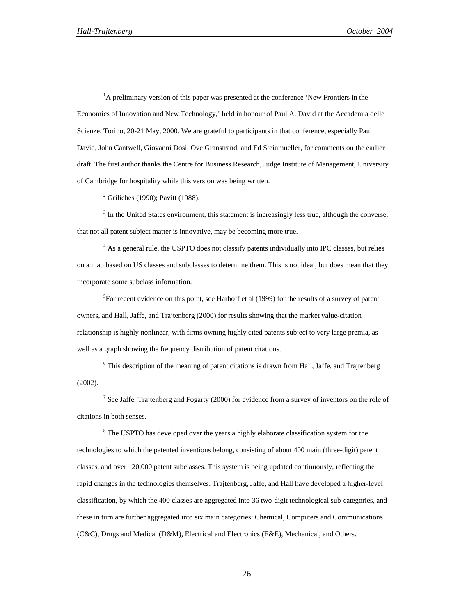l

<sup>1</sup>A preliminary version of this paper was presented at the conference 'New Frontiers in the Economics of Innovation and New Technology,' held in honour of Paul A. David at the Accademia delle Scienze, Torino, 20-21 May, 2000. We are grateful to participants in that conference, especially Paul David, John Cantwell, Giovanni Dosi, Ove Granstrand, and Ed Steinmueller, for comments on the earlier draft. The first author thanks the Centre for Business Research, Judge Institute of Management, University of Cambridge for hospitality while this version was being written.

<sup>2</sup> Griliches (1990); Pavitt (1988).

 $3$  In the United States environment, this statement is increasingly less true, although the converse, that not all patent subject matter is innovative, may be becoming more true.

<sup>4</sup> As a general rule, the USPTO does not classify patents individually into IPC classes, but relies on a map based on US classes and subclasses to determine them. This is not ideal, but does mean that they incorporate some subclass information.

 ${}^{5}$ For recent evidence on this point, see Harhoff et al (1999) for the results of a survey of patent owners, and Hall, Jaffe, and Trajtenberg (2000) for results showing that the market value-citation relationship is highly nonlinear, with firms owning highly cited patents subject to very large premia, as well as a graph showing the frequency distribution of patent citations.

<sup>6</sup> This description of the meaning of patent citations is drawn from Hall, Jaffe, and Trajtenberg (2002).

<sup>7</sup> See Jaffe, Trajtenberg and Fogarty (2000) for evidence from a survey of inventors on the role of citations in both senses.

<sup>8</sup> The USPTO has developed over the years a highly elaborate classification system for the technologies to which the patented inventions belong, consisting of about 400 main (three-digit) patent classes, and over 120,000 patent subclasses. This system is being updated continuously, reflecting the rapid changes in the technologies themselves. Trajtenberg, Jaffe, and Hall have developed a higher-level classification, by which the 400 classes are aggregated into 36 two-digit technological sub-categories, and these in turn are further aggregated into six main categories: Chemical, Computers and Communications (C&C), Drugs and Medical (D&M), Electrical and Electronics (E&E), Mechanical, and Others.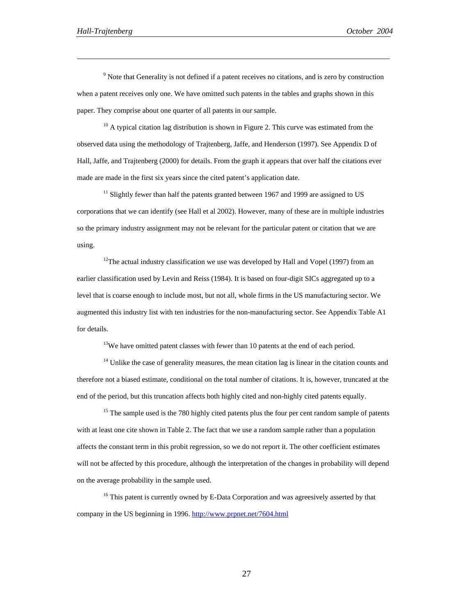$\overline{a}$ 

<sup>9</sup> Note that Generality is not defined if a patent receives no citations, and is zero by construction when a patent receives only one. We have omitted such patents in the tables and graphs shown in this paper. They comprise about one quarter of all patents in our sample.

 $10$  A typical citation lag distribution is shown in Figure 2. This curve was estimated from the observed data using the methodology of Trajtenberg, Jaffe, and Henderson (1997). See Appendix D of Hall, Jaffe, and Trajtenberg (2000) for details. From the graph it appears that over half the citations ever made are made in the first six years since the cited patent's application date.

 $11$  Slightly fewer than half the patents granted between 1967 and 1999 are assigned to US corporations that we can identify (see Hall et al 2002). However, many of these are in multiple industries so the primary industry assignment may not be relevant for the particular patent or citation that we are using.

<sup>12</sup>The actual industry classification we use was developed by Hall and Vopel (1997) from an earlier classification used by Levin and Reiss (1984). It is based on four-digit SICs aggregated up to a level that is coarse enough to include most, but not all, whole firms in the US manufacturing sector. We augmented this industry list with ten industries for the non-manufacturing sector. See Appendix Table A1 for details.

<sup>13</sup>We have omitted patent classes with fewer than 10 patents at the end of each period.

 $<sup>14</sup>$  Unlike the case of generality measures, the mean citation lag is linear in the citation counts and</sup> therefore not a biased estimate, conditional on the total number of citations. It is, however, truncated at the end of the period, but this truncation affects both highly cited and non-highly cited patents equally.

<sup>15</sup> The sample used is the 780 highly cited patents plus the four per cent random sample of patents with at least one cite shown in Table 2. The fact that we use a random sample rather than a population affects the constant term in this probit regression, so we do not report it. The other coefficient estimates will not be affected by this procedure, although the interpretation of the changes in probability will depend on the average probability in the sample used.

<sup>16</sup> This patent is currently owned by E-Data Corporation and was agreesively asserted by that company in the US beginning in 1996. http://www.prpnet.net/7604.html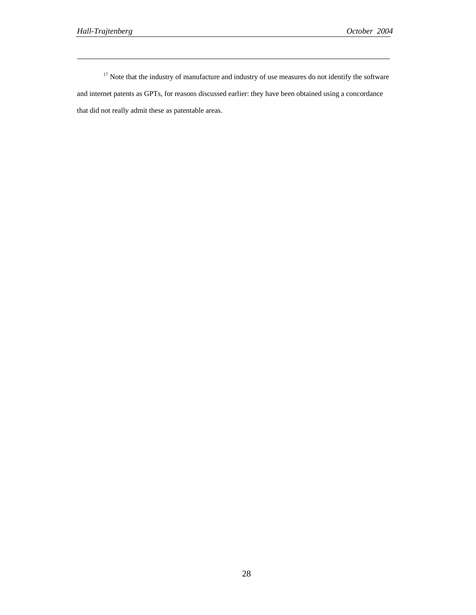$\overline{a}$ 

<sup>17</sup> Note that the industry of manufacture and industry of use measures do not identify the software and internet patents as GPTs, for reasons discussed earlier: they have been obtained using a concordance that did not really admit these as patentable areas.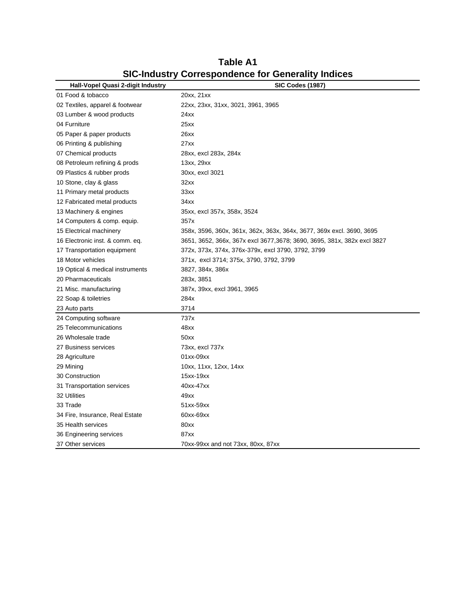| Hall-Vopel Quasi 2-digit Industry | <b>SIC Codes (1987)</b>                                                  |
|-----------------------------------|--------------------------------------------------------------------------|
| 01 Food & tobacco                 | 20xx, 21xx                                                               |
| 02 Textiles, apparel & footwear   | 22xx, 23xx, 31xx, 3021, 3961, 3965                                       |
| 03 Lumber & wood products         | 24xx                                                                     |
| 04 Furniture                      | 25xx                                                                     |
| 05 Paper & paper products         | 26xx                                                                     |
| 06 Printing & publishing          | 27xx                                                                     |
| 07 Chemical products              | 28xx, excl 283x, 284x                                                    |
| 08 Petroleum refining & prods     | 13xx, 29xx                                                               |
| 09 Plastics & rubber prods        | 30xx, excl 3021                                                          |
| 10 Stone, clay & glass            | 32xx                                                                     |
| 11 Primary metal products         | 33xx                                                                     |
| 12 Fabricated metal products      | 34xx                                                                     |
| 13 Machinery & engines            | 35xx, excl 357x, 358x, 3524                                              |
| 14 Computers & comp. equip.       | 357x                                                                     |
| 15 Electrical machinery           | 358x, 3596, 360x, 361x, 362x, 363x, 364x, 3677, 369x excl. 3690, 3695    |
| 16 Electronic inst. & comm. eq.   | 3651, 3652, 366x, 367x excl 3677, 3678; 3690, 3695, 381x, 382x excl 3827 |
| 17 Transportation equipment       | 372x, 373x, 374x, 376x-379x, excl 3790, 3792, 3799                       |
| 18 Motor vehicles                 | 371x, excl 3714; 375x, 3790, 3792, 3799                                  |
| 19 Optical & medical instruments  | 3827, 384x, 386x                                                         |
| 20 Pharmaceuticals                | 283x, 3851                                                               |
| 21 Misc. manufacturing            | 387x, 39xx, excl 3961, 3965                                              |
| 22 Soap & toiletries              | 284x                                                                     |
| 23 Auto parts                     | 3714                                                                     |
| 24 Computing software             | 737x                                                                     |
| 25 Telecommunications             | 48xx                                                                     |
| 26 Wholesale trade                | 50xx                                                                     |
| 27 Business services              | 73xx, excl 737x                                                          |
| 28 Agriculture                    | 01xx-09xx                                                                |
| 29 Mining                         | 10xx, 11xx, 12xx, 14xx                                                   |
| 30 Construction                   | 15xx-19xx                                                                |
| 31 Transportation services        | 40xx-47xx                                                                |
| 32 Utilities                      | 49xx                                                                     |
| 33 Trade                          | 51xx-59xx                                                                |
| 34 Fire, Insurance, Real Estate   | 60xx-69xx                                                                |
| 35 Health services                | 80xx                                                                     |
| 36 Engineering services           | 87xx                                                                     |
| 37 Other services                 | 70xx-99xx and not 73xx, 80xx, 87xx                                       |

**Table A1 SIC-Industry Correspondence for Generality Indices**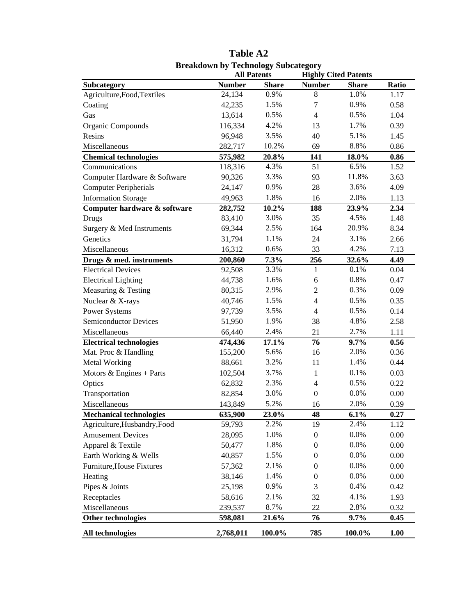|                                | <b>All Patents</b> |              | <b>Highly Cited Patents</b> |              |       |
|--------------------------------|--------------------|--------------|-----------------------------|--------------|-------|
| <b>Subcategory</b>             | <b>Number</b>      | <b>Share</b> | <b>Number</b>               | <b>Share</b> | Ratio |
| Agriculture, Food, Textiles    | 24,134             | 0.9%         | 8                           | 1.0%         | 1.17  |
| Coating                        | 42,235             | 1.5%         | 7                           | 0.9%         | 0.58  |
| Gas                            | 13,614             | 0.5%         | $\overline{4}$              | 0.5%         | 1.04  |
| Organic Compounds              | 116,334            | 4.2%         | 13                          | 1.7%         | 0.39  |
| Resins                         | 96,948             | 3.5%         | 40                          | 5.1%         | 1.45  |
| Miscellaneous                  | 282,717            | 10.2%        | 69                          | 8.8%         | 0.86  |
| <b>Chemical technologies</b>   | 575,982            | 20.8%        | 141                         | 18.0%        | 0.86  |
| Communications                 | 118,316            | 4.3%         | 51                          | 6.5%         | 1.52  |
| Computer Hardware & Software   | 90,326             | 3.3%         | 93                          | 11.8%        | 3.63  |
| <b>Computer Peripherials</b>   | 24,147             | 0.9%         | 28                          | 3.6%         | 4.09  |
| <b>Information Storage</b>     | 49,963             | 1.8%         | 16                          | 2.0%         | 1.13  |
| Computer hardware & software   | 282,752            | 10.2%        | 188                         | 23.9%        | 2.34  |
| Drugs                          | 83,410             | 3.0%         | 35                          | 4.5%         | 1.48  |
| Surgery & Med Instruments      | 69,344             | 2.5%         | 164                         | 20.9%        | 8.34  |
| Genetics                       | 31,794             | 1.1%         | 24                          | 3.1%         | 2.66  |
| Miscellaneous                  | 16,312             | 0.6%         | 33                          | 4.2%         | 7.13  |
| Drugs & med. instruments       | 200,860            | 7.3%         | 256                         | 32.6%        | 4.49  |
| <b>Electrical Devices</b>      | 92,508             | 3.3%         | 1                           | 0.1%         | 0.04  |
| <b>Electrical Lighting</b>     | 44,738             | 1.6%         | $\epsilon$                  | 0.8%         | 0.47  |
| Measuring & Testing            | 80,315             | 2.9%         | $\overline{2}$              | 0.3%         | 0.09  |
| Nuclear & X-rays               | 40,746             | 1.5%         | $\overline{4}$              | 0.5%         | 0.35  |
| Power Systems                  | 97,739             | 3.5%         | $\overline{4}$              | 0.5%         | 0.14  |
| <b>Semiconductor Devices</b>   | 51,950             | 1.9%         | 38                          | 4.8%         | 2.58  |
| Miscellaneous                  | 66,440             | 2.4%         | 21                          | 2.7%         | 1.11  |
| <b>Electrical technologies</b> | 474,436            | 17.1%        | 76                          | 9.7%         | 0.56  |
| Mat. Proc & Handling           | 155,200            | 5.6%         | 16                          | 2.0%         | 0.36  |
| Metal Working                  | 88,661             | 3.2%         | 11                          | 1.4%         | 0.44  |
| Motors $&$ Engines + Parts     | 102,504            | 3.7%         | $\mathbf{1}$                | 0.1%         | 0.03  |
| Optics                         | 62,832             | 2.3%         | $\overline{4}$              | 0.5%         | 0.22  |
| Transportation                 | 82,854             | 3.0%         | $\boldsymbol{0}$            | 0.0%         | 0.00  |
| Miscellaneous                  | 143,849            | 5.2%         | 16                          | 2.0%         | 0.39  |
| <b>Mechanical technologies</b> | 635,900            | 23.0%        | 48                          | $6.1\%$      | 0.27  |
| Agriculture, Husbandry, Food   | 59,793             | 2.2%         | 19                          | 2.4%         | 1.12  |
| <b>Amusement Devices</b>       | 28,095             | 1.0%         | $\boldsymbol{0}$            | 0.0%         | 0.00  |
| Apparel & Textile              | 50,477             | 1.8%         | $\boldsymbol{0}$            | 0.0%         | 0.00  |
| Earth Working & Wells          | 40,857             | 1.5%         | $\boldsymbol{0}$            | 0.0%         | 0.00  |
| Furniture, House Fixtures      | 57,362             | 2.1%         | $\boldsymbol{0}$            | 0.0%         | 0.00  |
| Heating                        | 38,146             | 1.4%         | $\boldsymbol{0}$            | 0.0%         | 0.00  |
| Pipes & Joints                 | 25,198             | 0.9%         | $\mathfrak{Z}$              | 0.4%         | 0.42  |
| Receptacles                    | 58,616             | 2.1%         | 32                          | 4.1%         | 1.93  |
| Miscellaneous                  | 239,537            | 8.7%         | 22                          | 2.8%         | 0.32  |
| Other technologies             | 598,081            | 21.6%        | 76                          | $9.7\%$      | 0.45  |
|                                |                    |              |                             |              |       |
| All technologies               | 2,768,011          | 100.0%       | 785                         | 100.0%       | 1.00  |

**Table A2 Breakdown by Technology Subcategory**